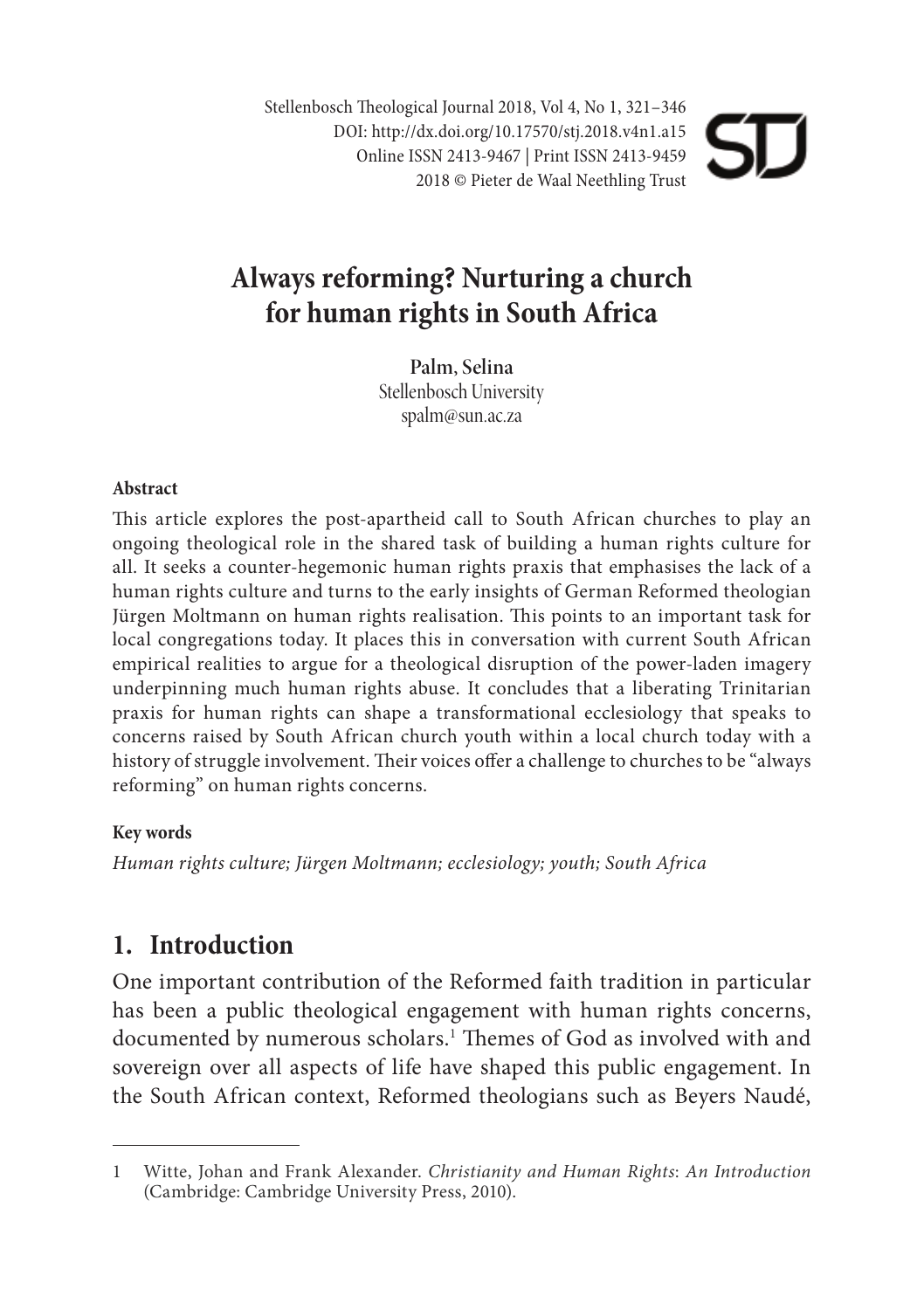Stellenbosch Theological Journal 2018, Vol 4, No 1, 321-346 DOI: http://dx.doi.org/10.17570/stj.2018.v4n1.a15 Online ISSN 2413-9467 | Print ISSN 2413-9459 2018 © Pieter de Waal Neethling Trust

# **Always reforming? Nurturing a church for human rights in South Africa**

**Palm, Selina** Stellenbosch University spalm@sun.ac.za

#### **Abstract**

This article explores the post-apartheid call to South African churches to play an ongoing theological role in the shared task of building a human rights culture for all. It seeks a counter-hegemonic human rights praxis that emphasises the lack of a human rights culture and turns to the early insights of German Reformed theologian Jürgen Moltmann on human rights realisation. This points to an important task for local congregations today. It places this in conversation with current South African empirical realities to argue for a theological disruption of the power-laden imagery underpinning much human rights abuse. It concludes that a liberating Trinitarian praxis for human rights can shape a transformational ecclesiology that speaks to concerns raised by South African church youth within a local church today with a history of struggle involvement. Their voices offer a challenge to churches to be "always reforming" on human rights concerns.

#### **Key words**

*Human rights culture; Jürgen Moltmann; ecclesiology; youth; South Africa*

#### **1. Introduction**

One important contribution of the Reformed faith tradition in particular has been a public theological engagement with human rights concerns, documented by numerous scholars.<sup>1</sup> Themes of God as involved with and sovereign over all aspects of life have shaped this public engagement. In the South African context, Reformed theologians such as Beyers Naudé,

<sup>1</sup> Witte, Johan and Frank Alexander. *Christianity and Human Rights*: *An Introduction* (Cambridge: Cambridge University Press, 2010).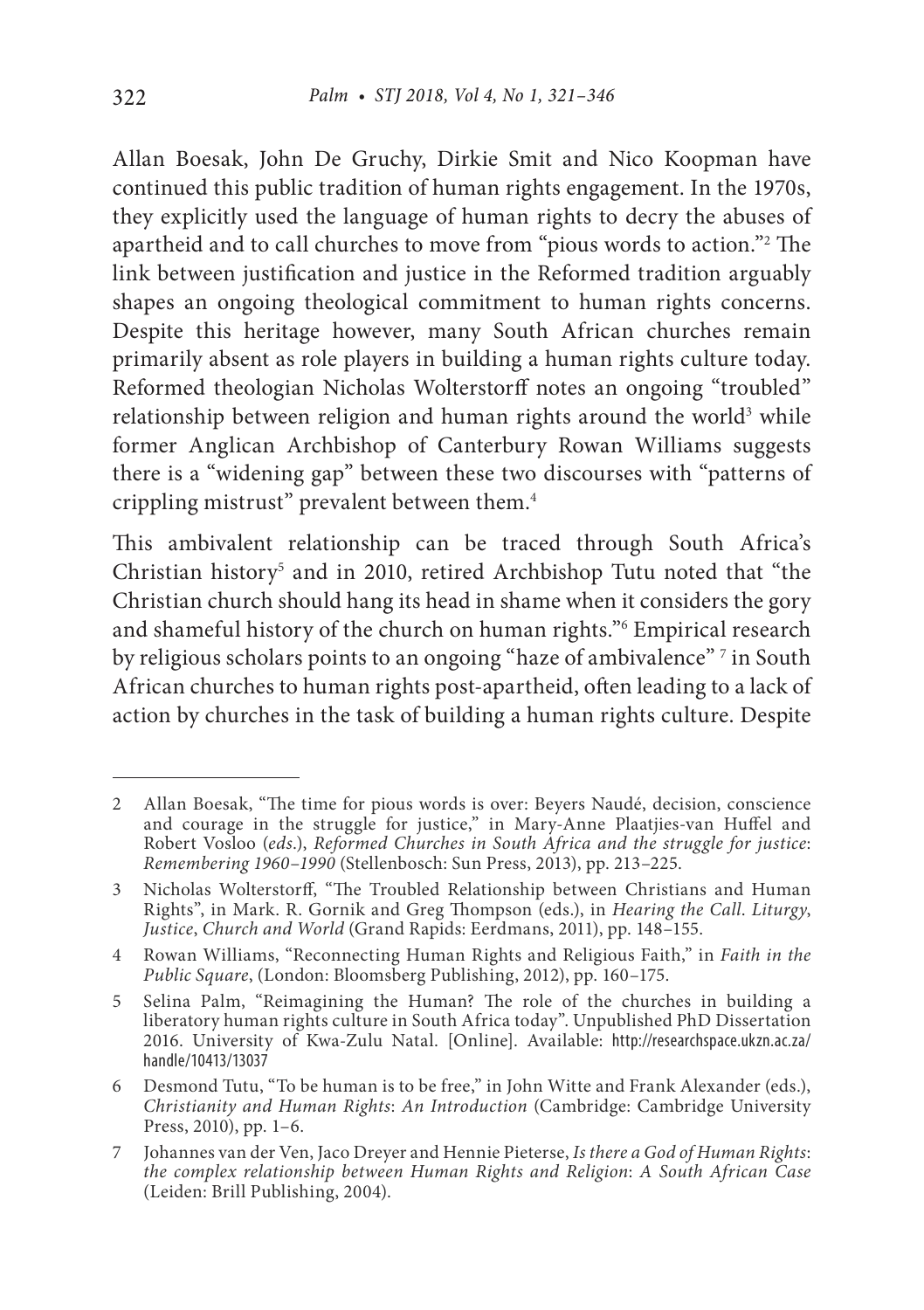Allan Boesak, John De Gruchy, Dirkie Smit and Nico Koopman have continued this public tradition of human rights engagement. In the 1970s, they explicitly used the language of human rights to decry the abuses of apartheid and to call churches to move from "pious words to action."2 The link between justification and justice in the Reformed tradition arguably shapes an ongoing theological commitment to human rights concerns. Despite this heritage however, many South African churches remain primarily absent as role players in building a human rights culture today. Reformed theologian Nicholas Wolterstorff notes an ongoing "troubled" relationship between religion and human rights around the world<sup>3</sup> while former Anglican Archbishop of Canterbury Rowan Williams suggests there is a "widening gap" between these two discourses with "patterns of crippling mistrust" prevalent between them.4

This ambivalent relationship can be traced through South Africa's Christian history<sup>5</sup> and in 2010, retired Archbishop Tutu noted that "the Christian church should hang its head in shame when it considers the gory and shameful history of the church on human rights."6 Empirical research by religious scholars points to an ongoing "haze of ambivalence" <sup>7</sup> in South African churches to human rights post-apartheid, often leading to a lack of action by churches in the task of building a human rights culture. Despite

<sup>2</sup> Allan Boesak, "The time for pious words is over: Beyers Naudé, decision, conscience and courage in the struggle for justice," in Mary-Anne Plaatjies-van Huffel and Robert Vosloo (*eds*.), *Reformed Churches in South Africa and the struggle for justice*: *Remembering 1960*–*1990* (Stellenbosch: Sun Press, 2013), pp. 213–225.

<sup>3</sup> Nicholas Wolterstorff, "The Troubled Relationship between Christians and Human Rights", in Mark. R. Gornik and Greg Thompson (eds.), in *Hearing the Call*. *Liturgy*, *Justice*, *Church and World* (Grand Rapids: Eerdmans, 2011), pp. 148–155.

<sup>4</sup> Rowan Williams, "Reconnecting Human Rights and Religious Faith," in *Faith in the Public Square*, (London: Bloomsberg Publishing, 2012), pp. 160–175.

<sup>5</sup> Selina Palm, "Reimagining the Human? The role of the churches in building a liberatory human rights culture in South Africa today". Unpublished PhD Dissertation 2016. University of Kwa-Zulu Natal. [Online]. Available: http://researchspace.ukzn.ac.za/ handle/10413/13037

<sup>6</sup> Desmond Tutu, "To be human is to be free," in John Witte and Frank Alexander (eds.), *Christianity and Human Rights*: *An Introduction* (Cambridge: Cambridge University Press, 2010), pp. 1–6.

<sup>7</sup> Johannes van der Ven, Jaco Dreyer and Hennie Pieterse, *Is there a God of Human Rights*: *the complex relationship between Human Rights and Religion*: *A South African Case* (Leiden: Brill Publishing, 2004).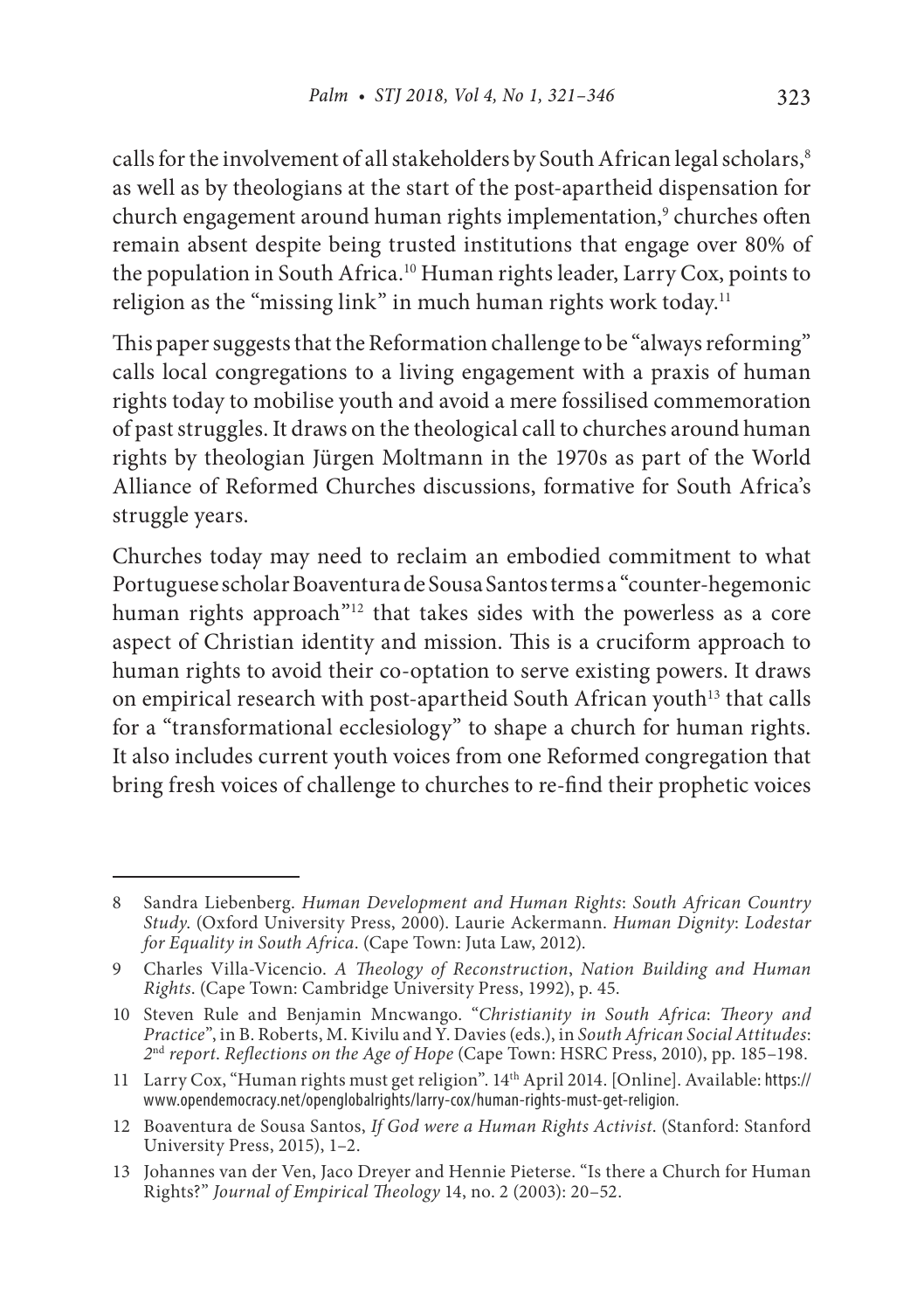calls for the involvement of all stakeholders by South African legal scholars,<sup>8</sup> as well as by theologians at the start of the post-apartheid dispensation for church engagement around human rights implementation,<sup>9</sup> churches often remain absent despite being trusted institutions that engage over 80% of the population in South Africa.<sup>10</sup> Human rights leader, Larry Cox, points to religion as the "missing link" in much human rights work today.<sup>11</sup>

This paper suggests that the Reformation challenge to be "always reforming" calls local congregations to a living engagement with a praxis of human rights today to mobilise youth and avoid a mere fossilised commemoration of past struggles. It draws on the theological call to churches around human rights by theologian Jürgen Moltmann in the 1970s as part of the World Alliance of Reformed Churches discussions, formative for South Africa's struggle years.

Churches today may need to reclaim an embodied commitment to what Portuguese scholar Boaventura de Sousa Santos terms a "counter-hegemonic human rights approach"<sup>12</sup> that takes sides with the powerless as a core aspect of Christian identity and mission. This is a cruciform approach to human rights to avoid their co-optation to serve existing powers. It draws on empirical research with post-apartheid South African youth<sup>13</sup> that calls for a "transformational ecclesiology" to shape a church for human rights. It also includes current youth voices from one Reformed congregation that bring fresh voices of challenge to churches to re-find their prophetic voices

<sup>8</sup> Sandra Liebenberg. *Human Development and Human Rights*: *South African Country Study*. (Oxford University Press, 2000). Laurie Ackermann. *Human Dignity*: *Lodestar for Equality in South Africa*. (Cape Town: Juta Law, 2012).

<sup>9</sup> Charles Villa-Vicencio. *A Theology of Reconstruction*, *Nation Building and Human Rights*. (Cape Town: Cambridge University Press, 1992), p. 45.

<sup>10</sup> Steven Rule and Benjamin Mncwango. "*Christianity in South Africa*: *Theory and Practice*", in B. Roberts, M. Kivilu and Y. Davies (eds.), in *South African Social Attitudes*: *2*nd *report*. *Reflections on the Age of Hope* (Cape Town: HSRC Press, 2010), pp. 185–198.

<sup>11</sup> Larry Cox, "Human rights must get religion". 14th April 2014. [Online]. Available: https:// www.opendemocracy.net/openglobalrights/larry-cox/human-rights-must-get-religion.

<sup>12</sup> Boaventura de Sousa Santos, *If God were a Human Rights Activist*. (Stanford: Stanford University Press, 2015), 1–2.

<sup>13</sup> Johannes van der Ven, Jaco Dreyer and Hennie Pieterse. "Is there a Church for Human Rights?" *Journal of Empirical Theology* 14, no. 2 (2003): 20–52.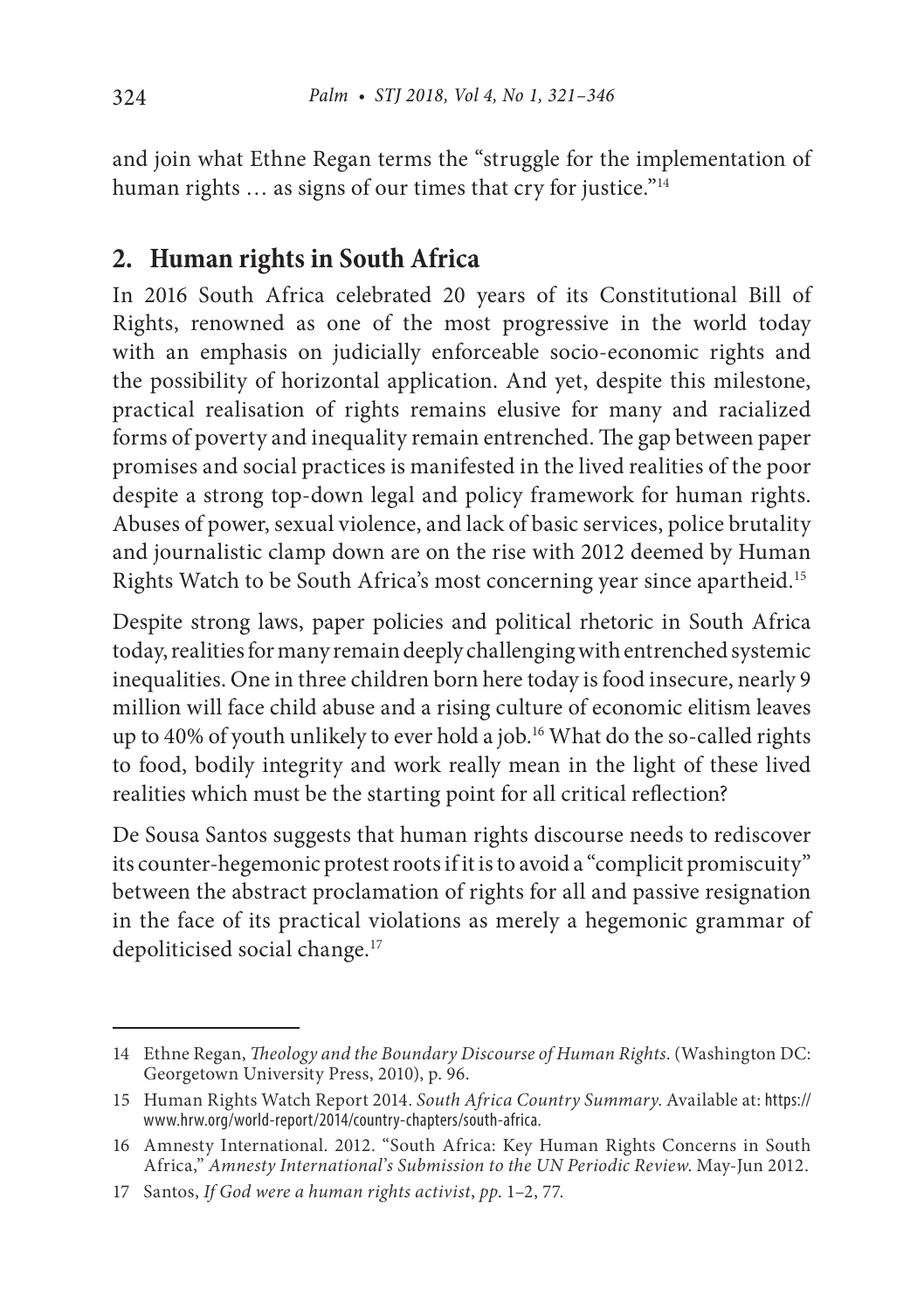and join what Ethne Regan terms the "struggle for the implementation of human rights ... as signs of our times that cry for justice."<sup>14</sup>

### **2. Human rights in South Africa**

In 2016 South Africa celebrated 20 years of its Constitutional Bill of Rights, renowned as one of the most progressive in the world today with an emphasis on judicially enforceable socio-economic rights and the possibility of horizontal application. And yet, despite this milestone, practical realisation of rights remains elusive for many and racialized forms of poverty and inequality remain entrenched. The gap between paper promises and social practices is manifested in the lived realities of the poor despite a strong top-down legal and policy framework for human rights. Abuses of power, sexual violence, and lack of basic services, police brutality and journalistic clamp down are on the rise with 2012 deemed by Human Rights Watch to be South Africa's most concerning year since apartheid.15

Despite strong laws, paper policies and political rhetoric in South Africa today, realities for many remain deeply challenging with entrenched systemic inequalities. One in three children born here today is food insecure, nearly 9 million will face child abuse and a rising culture of economic elitism leaves up to 40% of youth unlikely to ever hold a job.<sup>16</sup> What do the so-called rights to food, bodily integrity and work really mean in the light of these lived realities which must be the starting point for all critical reflection?

De Sousa Santos suggests that human rights discourse needs to rediscover its counter-hegemonic protest roots if it is to avoid a "complicit promiscuity" between the abstract proclamation of rights for all and passive resignation in the face of its practical violations as merely a hegemonic grammar of depoliticised social change.<sup>17</sup>

<sup>14</sup> Ethne Regan, *Theology and the Boundary Discourse of Human Rights*. (Washington DC: Georgetown University Press, 2010), p. 96.

<sup>15</sup> Human Rights Watch Report 2014. *South Africa Country Summary*. Available at: https:// www.hrw.org/world-report/2014/country-chapters/south-africa.

<sup>16</sup> Amnesty International. 2012. "South Africa: Key Human Rights Concerns in South Africa," *Amnesty International*'*s Submission to the UN Periodic Review*. May-Jun 2012.

<sup>17</sup> Santos, *If God were a human rights activist*, *pp*. 1–2, 77.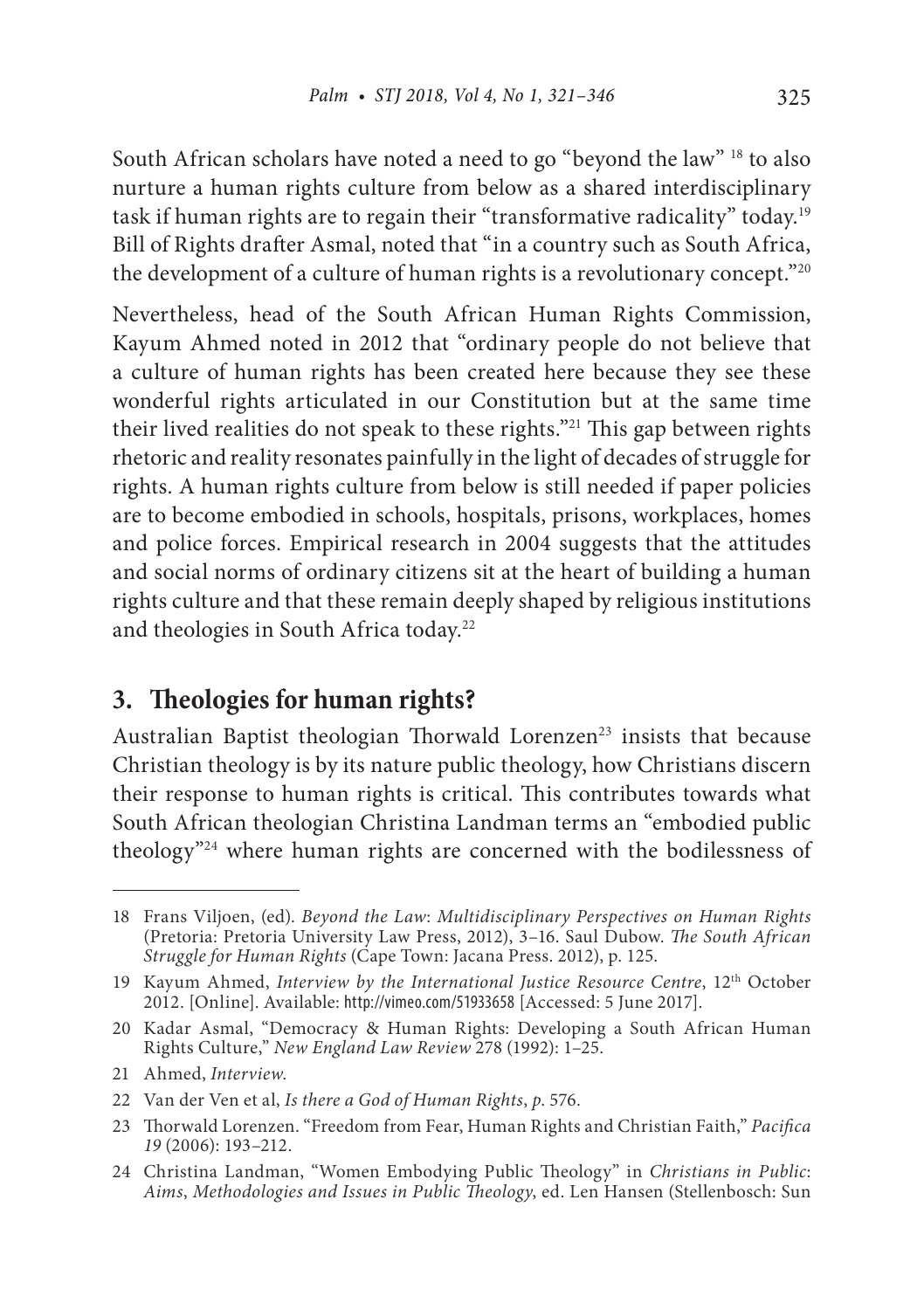South African scholars have noted a need to go "beyond the law" <sup>18</sup> to also nurture a human rights culture from below as a shared interdisciplinary task if human rights are to regain their "transformative radicality" today.<sup>19</sup> Bill of Rights drafter Asmal, noted that "in a country such as South Africa, the development of a culture of human rights is a revolutionary concept."20

Nevertheless, head of the South African Human Rights Commission, Kayum Ahmed noted in 2012 that "ordinary people do not believe that a culture of human rights has been created here because they see these wonderful rights articulated in our Constitution but at the same time their lived realities do not speak to these rights."21 This gap between rights rhetoric and reality resonates painfully in the light of decades of struggle for rights. A human rights culture from below is still needed if paper policies are to become embodied in schools, hospitals, prisons, workplaces, homes and police forces. Empirical research in 2004 suggests that the attitudes and social norms of ordinary citizens sit at the heart of building a human rights culture and that these remain deeply shaped by religious institutions and theologies in South Africa today.22

#### **3. Theologies for human rights?**

Australian Baptist theologian Thorwald Lorenzen<sup>23</sup> insists that because Christian theology is by its nature public theology, how Christians discern their response to human rights is critical. This contributes towards what South African theologian Christina Landman terms an "embodied public theology"24 where human rights are concerned with the bodilessness of

<sup>18</sup> Frans Viljoen, (ed). *Beyond the Law*: *Multidisciplinary Perspectives on Human Rights* (Pretoria: Pretoria University Law Press, 2012), 3–16. Saul Dubow. *The South African Struggle for Human Rights* (Cape Town: Jacana Press. 2012), p. 125.

<sup>19</sup> Kayum Ahmed, *Interview by the International Justice Resource Centre*, 12th October 2012. [Online]. Available: http://vimeo.com/51933658 [Accessed: 5 June 2017].

<sup>20</sup> Kadar Asmal, "Democracy & Human Rights: Developing a South African Human Rights Culture," *New England Law Review* 278 (1992): 1–25.

<sup>21</sup> Ahmed, *Interview*.

<sup>22</sup> Van der Ven et al, *Is there a God of Human Rights*, *p*. 576.

<sup>23</sup> Thorwald Lorenzen. "Freedom from Fear, Human Rights and Christian Faith," *Pacifica 19* (2006): 193–212.

<sup>24</sup> Christina Landman, "Women Embodying Public Theology" in *Christians in Public*: *Aims*, *Methodologies and Issues in Public Theology*, ed. Len Hansen (Stellenbosch: Sun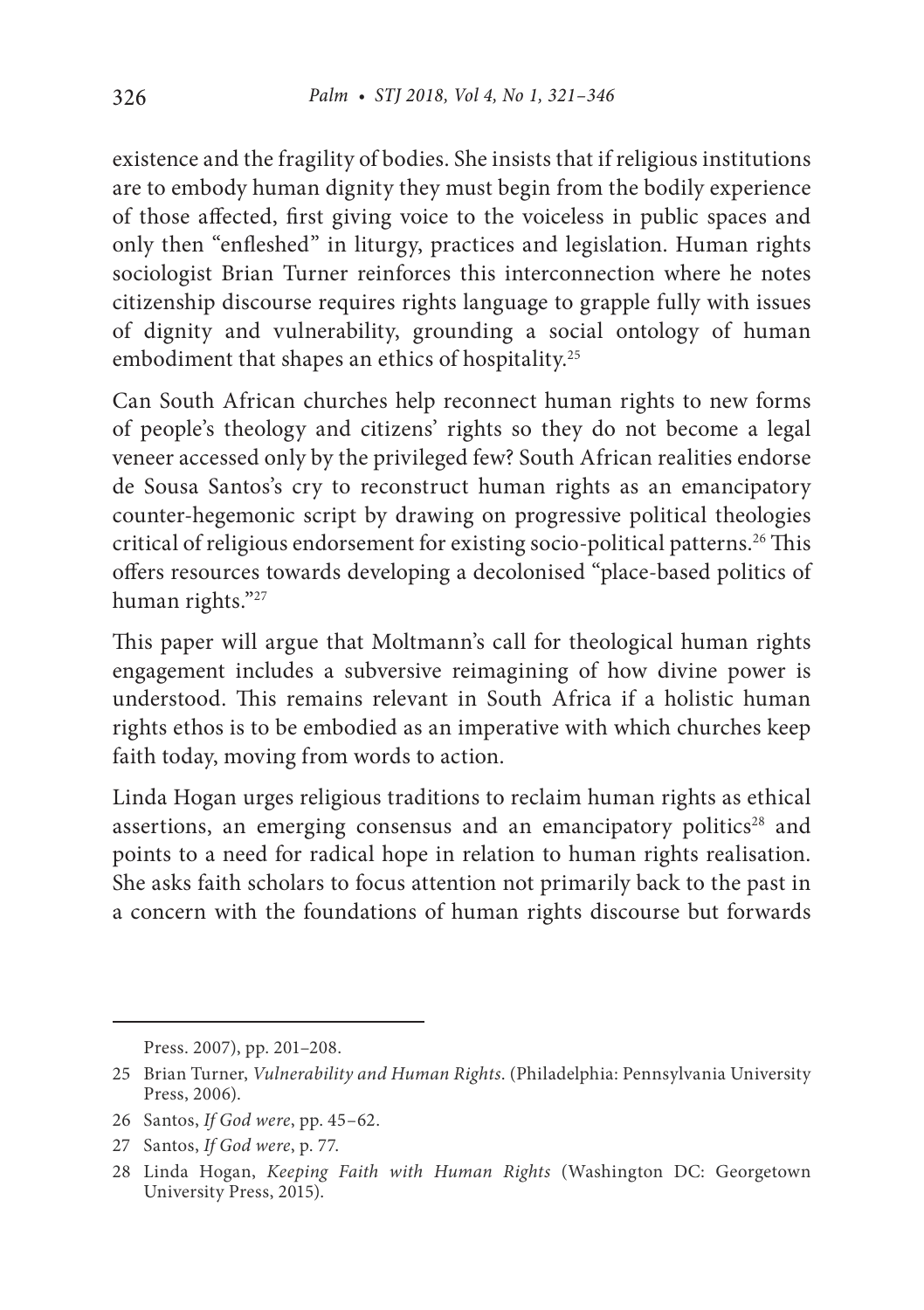existence and the fragility of bodies. She insists that if religious institutions are to embody human dignity they must begin from the bodily experience of those affected, first giving voice to the voiceless in public spaces and only then "enfleshed" in liturgy, practices and legislation. Human rights sociologist Brian Turner reinforces this interconnection where he notes citizenship discourse requires rights language to grapple fully with issues of dignity and vulnerability, grounding a social ontology of human embodiment that shapes an ethics of hospitality.25

Can South African churches help reconnect human rights to new forms of people's theology and citizens' rights so they do not become a legal veneer accessed only by the privileged few? South African realities endorse de Sousa Santos's cry to reconstruct human rights as an emancipatory counter-hegemonic script by drawing on progressive political theologies critical of religious endorsement for existing socio-political patterns.<sup>26</sup> This offers resources towards developing a decolonised "place-based politics of human rights."27

This paper will argue that Moltmann's call for theological human rights engagement includes a subversive reimagining of how divine power is understood. This remains relevant in South Africa if a holistic human rights ethos is to be embodied as an imperative with which churches keep faith today, moving from words to action.

Linda Hogan urges religious traditions to reclaim human rights as ethical assertions, an emerging consensus and an emancipatory politics $28$  and points to a need for radical hope in relation to human rights realisation. She asks faith scholars to focus attention not primarily back to the past in a concern with the foundations of human rights discourse but forwards

- 26 Santos, *If God were*, pp. 45–62.
- 27 Santos, *If God were*, p. 77.

Press. 2007), pp. 201–208.

<sup>25</sup> Brian Turner, *Vulnerability and Human Rights*. (Philadelphia: Pennsylvania University Press, 2006).

<sup>28</sup> Linda Hogan, *Keeping Faith with Human Rights* (Washington DC: Georgetown University Press, 2015).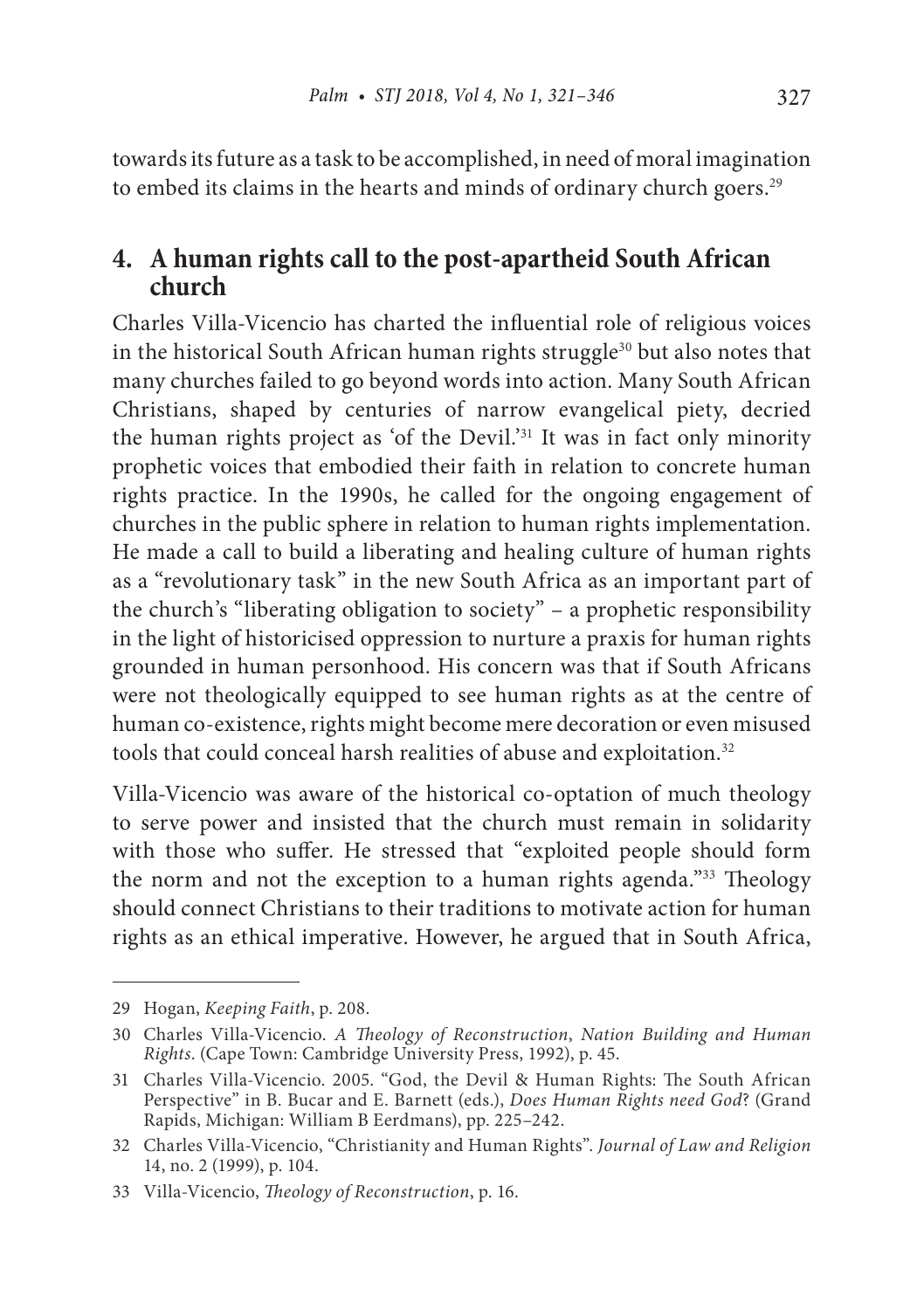towards its future as a task to be accomplished, in need of moral imagination to embed its claims in the hearts and minds of ordinary church goers.<sup>29</sup>

#### **4. A human rights call to the post-apartheid South African church**

Charles Villa-Vicencio has charted the influential role of religious voices in the historical South African human rights struggle<sup>30</sup> but also notes that many churches failed to go beyond words into action. Many South African Christians, shaped by centuries of narrow evangelical piety, decried the human rights project as 'of the Devil.'31 It was in fact only minority prophetic voices that embodied their faith in relation to concrete human rights practice. In the 1990s, he called for the ongoing engagement of churches in the public sphere in relation to human rights implementation. He made a call to build a liberating and healing culture of human rights as a "revolutionary task" in the new South Africa as an important part of the church's "liberating obligation to society" – a prophetic responsibility in the light of historicised oppression to nurture a praxis for human rights grounded in human personhood. His concern was that if South Africans were not theologically equipped to see human rights as at the centre of human co-existence, rights might become mere decoration or even misused tools that could conceal harsh realities of abuse and exploitation.<sup>32</sup>

Villa-Vicencio was aware of the historical co-optation of much theology to serve power and insisted that the church must remain in solidarity with those who suffer. He stressed that "exploited people should form the norm and not the exception to a human rights agenda."33 Theology should connect Christians to their traditions to motivate action for human rights as an ethical imperative. However, he argued that in South Africa,

<sup>29</sup> Hogan, *Keeping Faith*, p. 208.

<sup>30</sup> Charles Villa-Vicencio. *A Theology of Reconstruction*, *Nation Building and Human Rights*. (Cape Town: Cambridge University Press, 1992), p. 45.

<sup>31</sup> Charles Villa-Vicencio. 2005. "God, the Devil & Human Rights: The South African Perspective" in B. Bucar and E. Barnett (eds.), *Does Human Rights need God*? (Grand Rapids, Michigan: William B Eerdmans), pp. 225–242.

<sup>32</sup> Charles Villa-Vicencio, "Christianity and Human Rights". *Journal of Law and Religion* 14, no. 2 (1999), p. 104.

<sup>33</sup> Villa-Vicencio, *Theology of Reconstruction*, p. 16.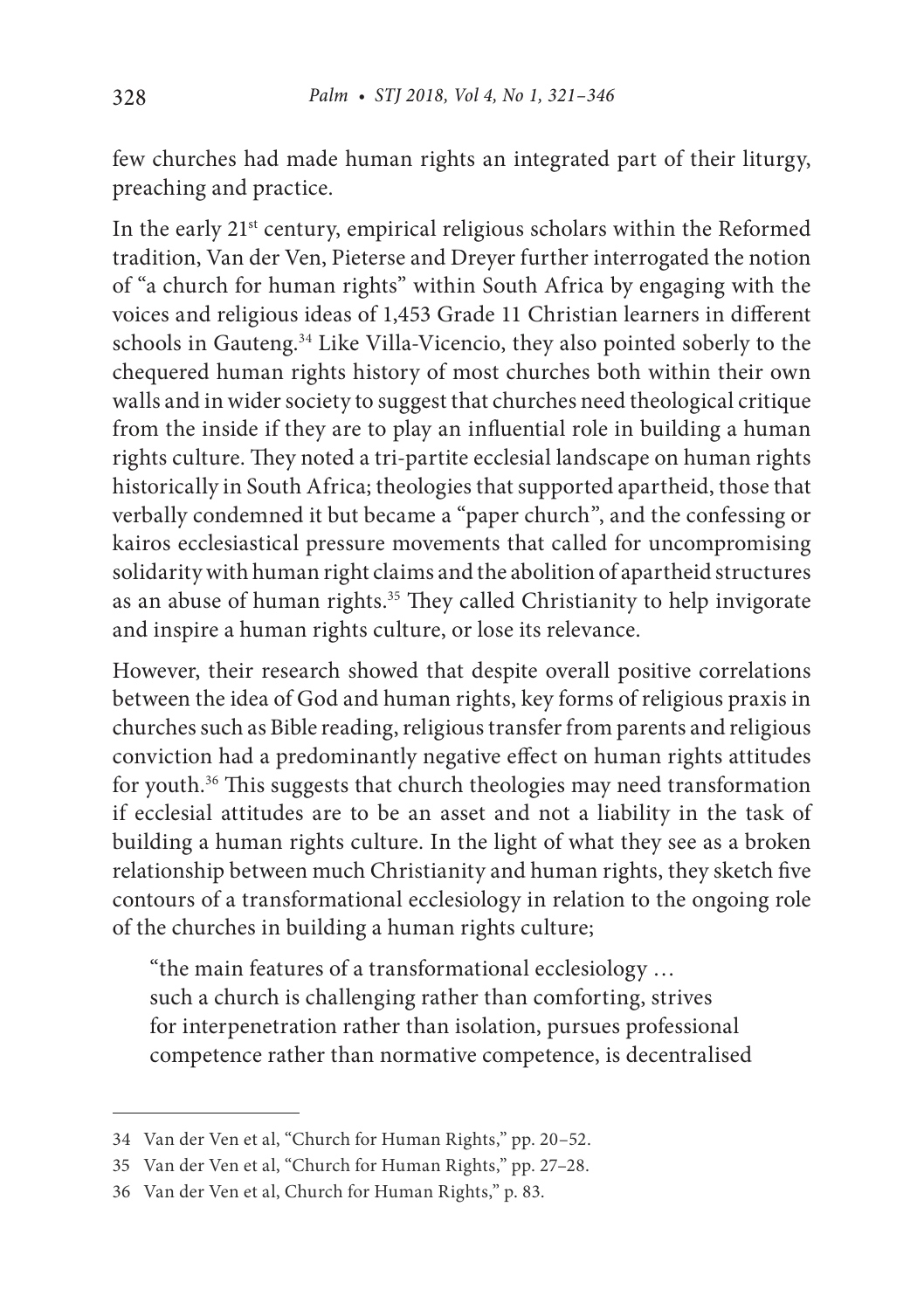few churches had made human rights an integrated part of their liturgy, preaching and practice.

In the early 21<sup>st</sup> century, empirical religious scholars within the Reformed tradition, Van der Ven, Pieterse and Dreyer further interrogated the notion of "a church for human rights" within South Africa by engaging with the voices and religious ideas of 1,453 Grade 11 Christian learners in different schools in Gauteng.<sup>34</sup> Like Villa-Vicencio, they also pointed soberly to the chequered human rights history of most churches both within their own walls and in wider society to suggest that churches need theological critique from the inside if they are to play an influential role in building a human rights culture. They noted a tri-partite ecclesial landscape on human rights historically in South Africa; theologies that supported apartheid, those that verbally condemned it but became a "paper church", and the confessing or kairos ecclesiastical pressure movements that called for uncompromising solidarity with human right claims and the abolition of apartheid structures as an abuse of human rights.<sup>35</sup> They called Christianity to help invigorate and inspire a human rights culture, or lose its relevance.

However, their research showed that despite overall positive correlations between the idea of God and human rights, key forms of religious praxis in churches such as Bible reading, religious transfer from parents and religious conviction had a predominantly negative effect on human rights attitudes for youth.36 This suggests that church theologies may need transformation if ecclesial attitudes are to be an asset and not a liability in the task of building a human rights culture. In the light of what they see as a broken relationship between much Christianity and human rights, they sketch five contours of a transformational ecclesiology in relation to the ongoing role of the churches in building a human rights culture;

"the main features of a transformational ecclesiology … such a church is challenging rather than comforting, strives for interpenetration rather than isolation, pursues professional competence rather than normative competence, is decentralised

<sup>34</sup> Van der Ven et al, "Church for Human Rights," pp. 20–52.

<sup>35</sup> Van der Ven et al, "Church for Human Rights," pp. 27–28.

<sup>36</sup> Van der Ven et al, Church for Human Rights," p. 83.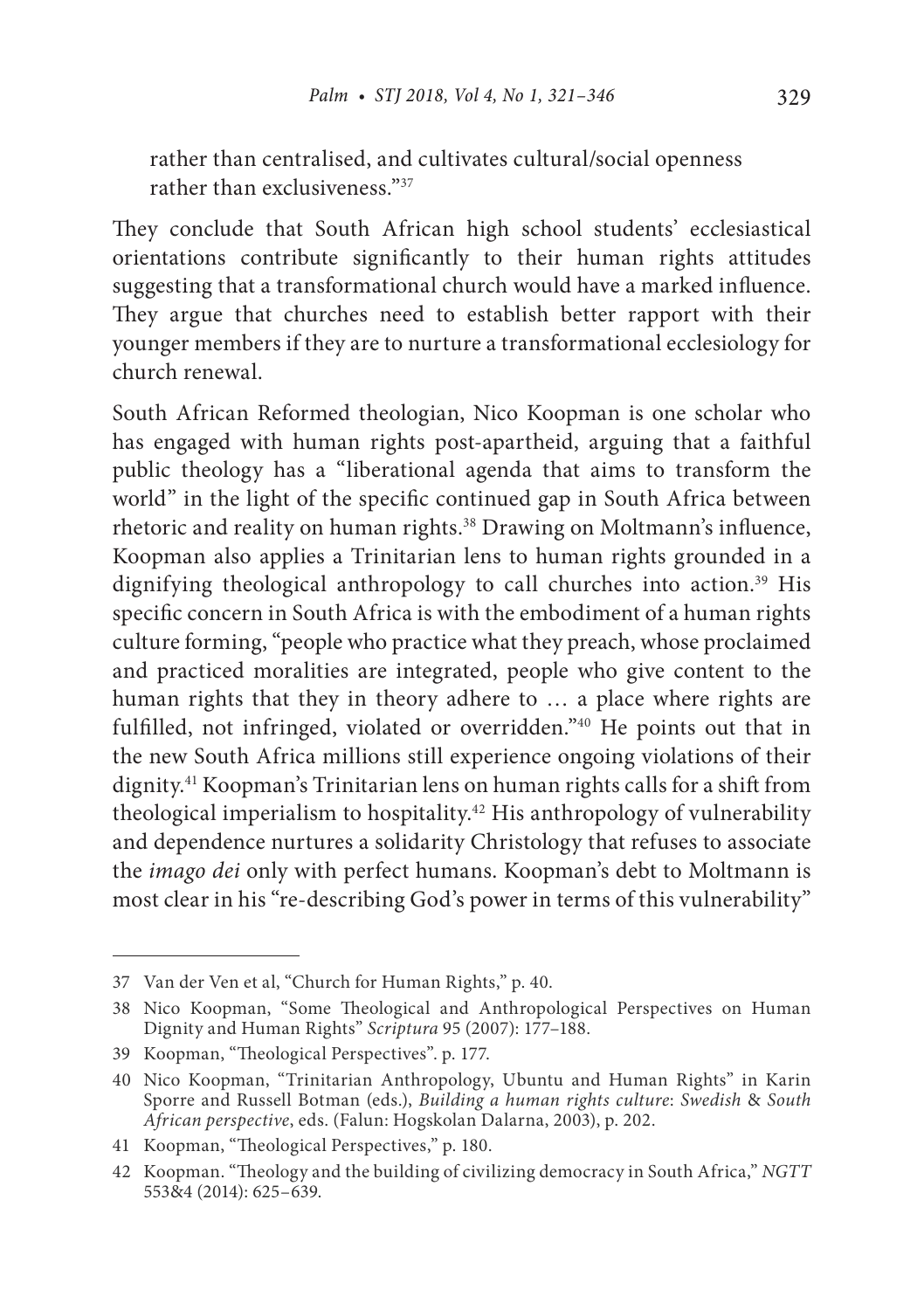rather than centralised, and cultivates cultural/social openness rather than exclusiveness<sup>37</sup>

They conclude that South African high school students' ecclesiastical orientations contribute significantly to their human rights attitudes suggesting that a transformational church would have a marked influence. They argue that churches need to establish better rapport with their younger members if they are to nurture a transformational ecclesiology for church renewal.

South African Reformed theologian, Nico Koopman is one scholar who has engaged with human rights post-apartheid, arguing that a faithful public theology has a "liberational agenda that aims to transform the world" in the light of the specific continued gap in South Africa between rhetoric and reality on human rights.38 Drawing on Moltmann's influence, Koopman also applies a Trinitarian lens to human rights grounded in a dignifying theological anthropology to call churches into action.<sup>39</sup> His specific concern in South Africa is with the embodiment of a human rights culture forming, "people who practice what they preach, whose proclaimed and practiced moralities are integrated, people who give content to the human rights that they in theory adhere to … a place where rights are fulfilled, not infringed, violated or overridden."40 He points out that in the new South Africa millions still experience ongoing violations of their dignity.41 Koopman's Trinitarian lens on human rights calls for a shift from theological imperialism to hospitality.<sup>42</sup> His anthropology of vulnerability and dependence nurtures a solidarity Christology that refuses to associate the *imago dei* only with perfect humans. Koopman's debt to Moltmann is most clear in his "re-describing God's power in terms of this vulnerability"

<sup>37</sup> Van der Ven et al, "Church for Human Rights," p. 40.

<sup>38</sup> Nico Koopman, "Some Theological and Anthropological Perspectives on Human Dignity and Human Rights" *Scriptura* 95 (2007): 177–188.

<sup>39</sup> Koopman, "Theological Perspectives". p. 177.

<sup>40</sup> Nico Koopman, "Trinitarian Anthropology, Ubuntu and Human Rights" in Karin Sporre and Russell Botman (eds.), *Building a human rights culture*: *Swedish* & *South African perspective*, eds. (Falun: Hogskolan Dalarna, 2003), p. 202.

<sup>41</sup> Koopman, "Theological Perspectives," p. 180.

<sup>42</sup> Koopman. "Theology and the building of civilizing democracy in South Africa," *NGTT* 553&4 (2014): 625–639.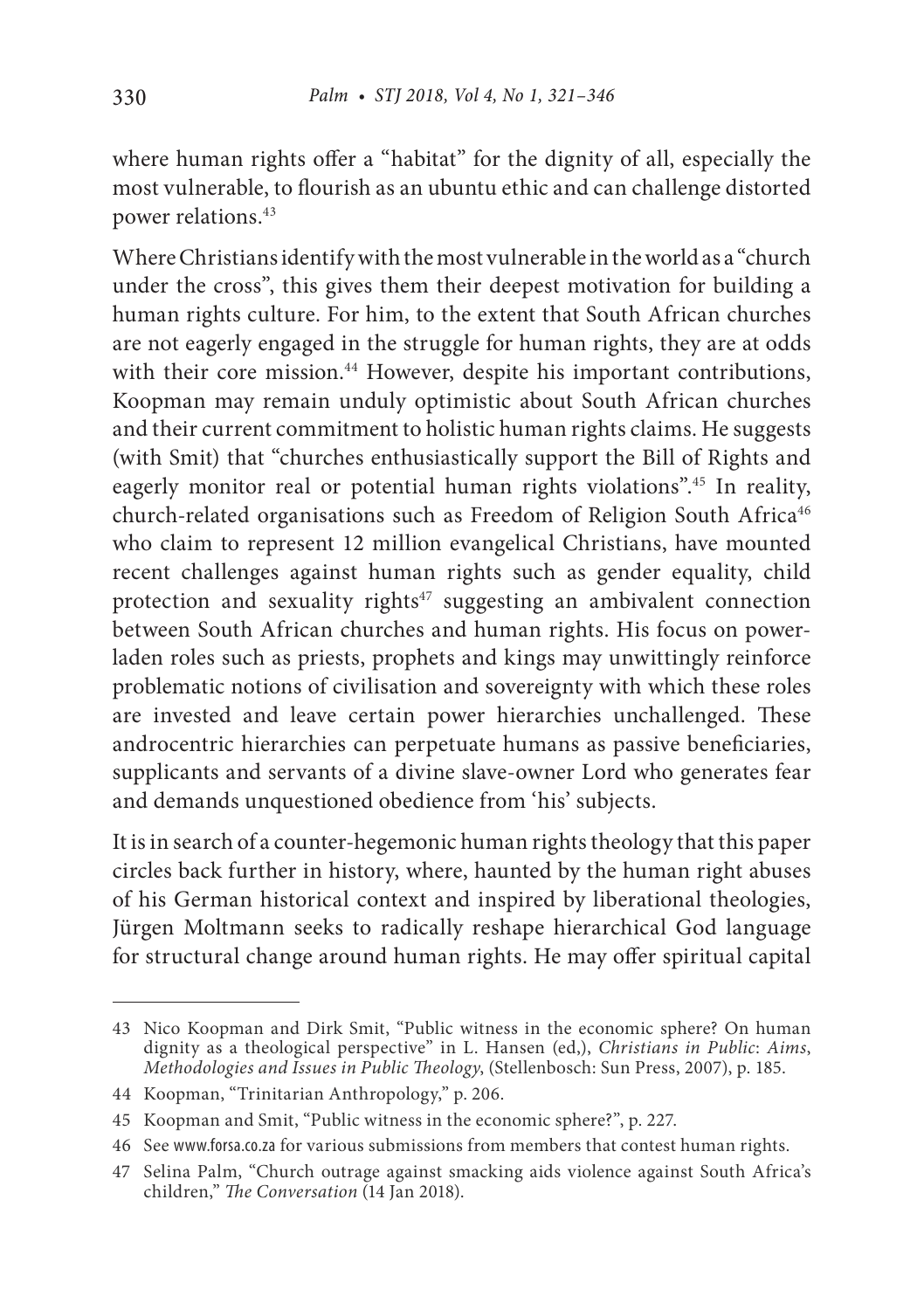where human rights offer a "habitat" for the dignity of all, especially the most vulnerable, to flourish as an ubuntu ethic and can challenge distorted power relations.43

Where Christians identify with the most vulnerable in the world as a "church under the cross", this gives them their deepest motivation for building a human rights culture. For him, to the extent that South African churches are not eagerly engaged in the struggle for human rights, they are at odds with their core mission.<sup>44</sup> However, despite his important contributions, Koopman may remain unduly optimistic about South African churches and their current commitment to holistic human rights claims. He suggests (with Smit) that "churches enthusiastically support the Bill of Rights and eagerly monitor real or potential human rights violations".45 In reality, church-related organisations such as Freedom of Religion South Africa<sup>46</sup> who claim to represent 12 million evangelical Christians, have mounted recent challenges against human rights such as gender equality, child protection and sexuality rights<sup>47</sup> suggesting an ambivalent connection between South African churches and human rights. His focus on powerladen roles such as priests, prophets and kings may unwittingly reinforce problematic notions of civilisation and sovereignty with which these roles are invested and leave certain power hierarchies unchallenged. These androcentric hierarchies can perpetuate humans as passive beneficiaries, supplicants and servants of a divine slave-owner Lord who generates fear and demands unquestioned obedience from 'his' subjects.

It is in search of a counter-hegemonic human rights theology that this paper circles back further in history, where, haunted by the human right abuses of his German historical context and inspired by liberational theologies, Jürgen Moltmann seeks to radically reshape hierarchical God language for structural change around human rights. He may offer spiritual capital

<sup>43</sup> Nico Koopman and Dirk Smit, "Public witness in the economic sphere? On human dignity as a theological perspective" in L. Hansen (ed,), *Christians in Public*: *Aims*, *Methodologies and Issues in Public Theology*, (Stellenbosch: Sun Press, 2007), p. 185.

<sup>44</sup> Koopman, "Trinitarian Anthropology," p. 206.

<sup>45</sup> Koopman and Smit, "Public witness in the economic sphere?", p. 227.

<sup>46</sup> See www.forsa.co.za for various submissions from members that contest human rights.

<sup>47</sup> Selina Palm, "Church outrage against smacking aids violence against South Africa's children," *The Conversation* (14 Jan 2018).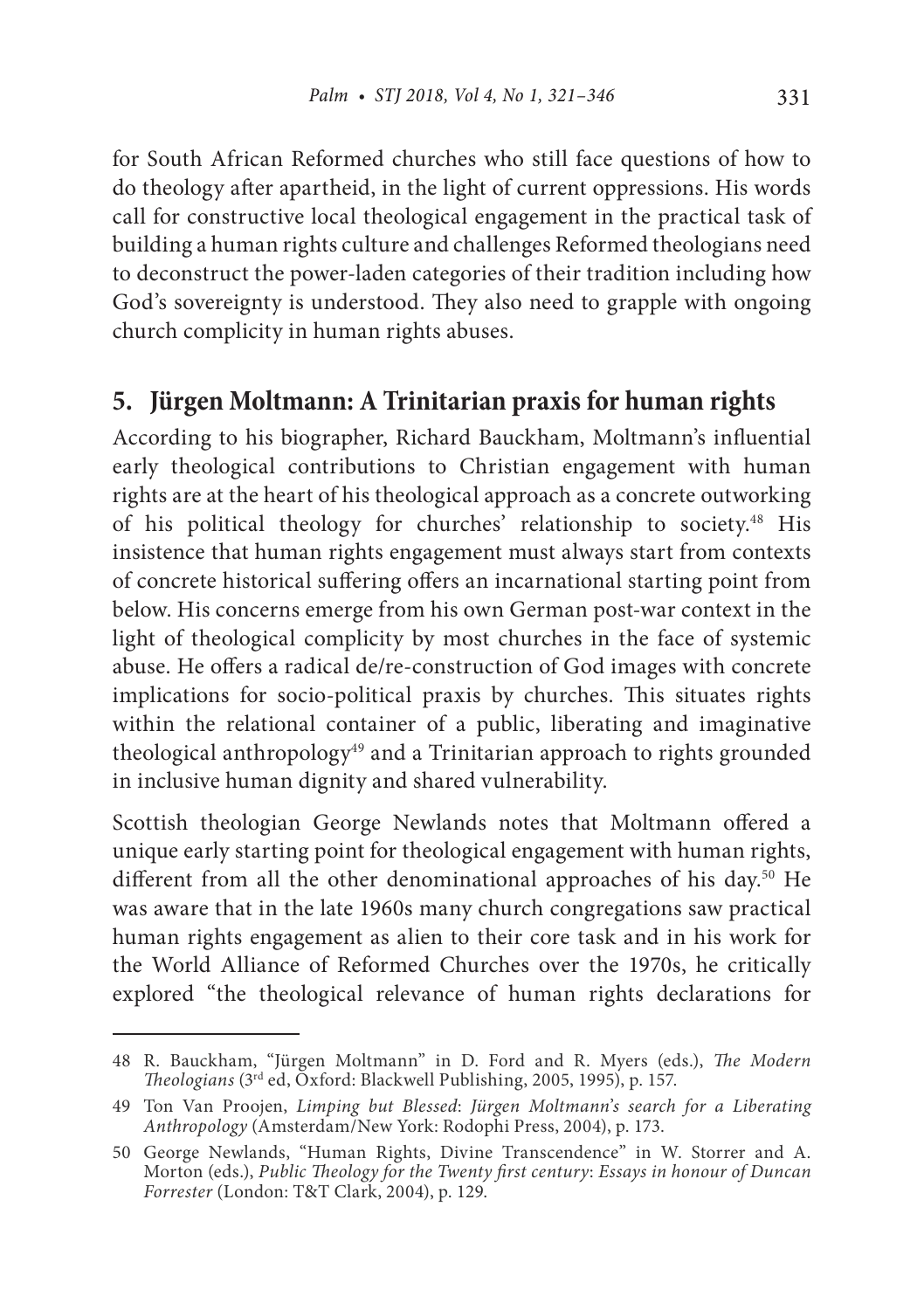for South African Reformed churches who still face questions of how to do theology after apartheid, in the light of current oppressions. His words call for constructive local theological engagement in the practical task of building a human rights culture and challenges Reformed theologians need to deconstruct the power-laden categories of their tradition including how God's sovereignty is understood. They also need to grapple with ongoing church complicity in human rights abuses.

## **5. Jürgen Moltmann: A Trinitarian praxis for human rights**

According to his biographer, Richard Bauckham, Moltmann's influential early theological contributions to Christian engagement with human rights are at the heart of his theological approach as a concrete outworking of his political theology for churches' relationship to society.<sup>48</sup> His insistence that human rights engagement must always start from contexts of concrete historical suffering offers an incarnational starting point from below. His concerns emerge from his own German post-war context in the light of theological complicity by most churches in the face of systemic abuse. He offers a radical de/re-construction of God images with concrete implications for socio-political praxis by churches. This situates rights within the relational container of a public, liberating and imaginative theological anthropology<sup>49</sup> and a Trinitarian approach to rights grounded in inclusive human dignity and shared vulnerability.

Scottish theologian George Newlands notes that Moltmann offered a unique early starting point for theological engagement with human rights, different from all the other denominational approaches of his day.50 He was aware that in the late 1960s many church congregations saw practical human rights engagement as alien to their core task and in his work for the World Alliance of Reformed Churches over the 1970s, he critically explored "the theological relevance of human rights declarations for

<sup>48</sup> R. Bauckham, "Jürgen Moltmann" in D. Ford and R. Myers (eds.), *The Modern Theologians* (3rd ed, Oxford: Blackwell Publishing, 2005, 1995), p. 157.

<sup>49</sup> Ton Van Proojen, *Limping but Blessed*: *Jürgen Moltmann*'*s search for a Liberating Anthropology* (Amsterdam/New York: Rodophi Press, 2004), p. 173.

<sup>50</sup> George Newlands, "Human Rights, Divine Transcendence" in W. Storrer and A. Morton (eds.), *Public Theology for the Twenty first century*: *Essays in honour of Duncan Forrester* (London: T&T Clark, 2004), p. 129.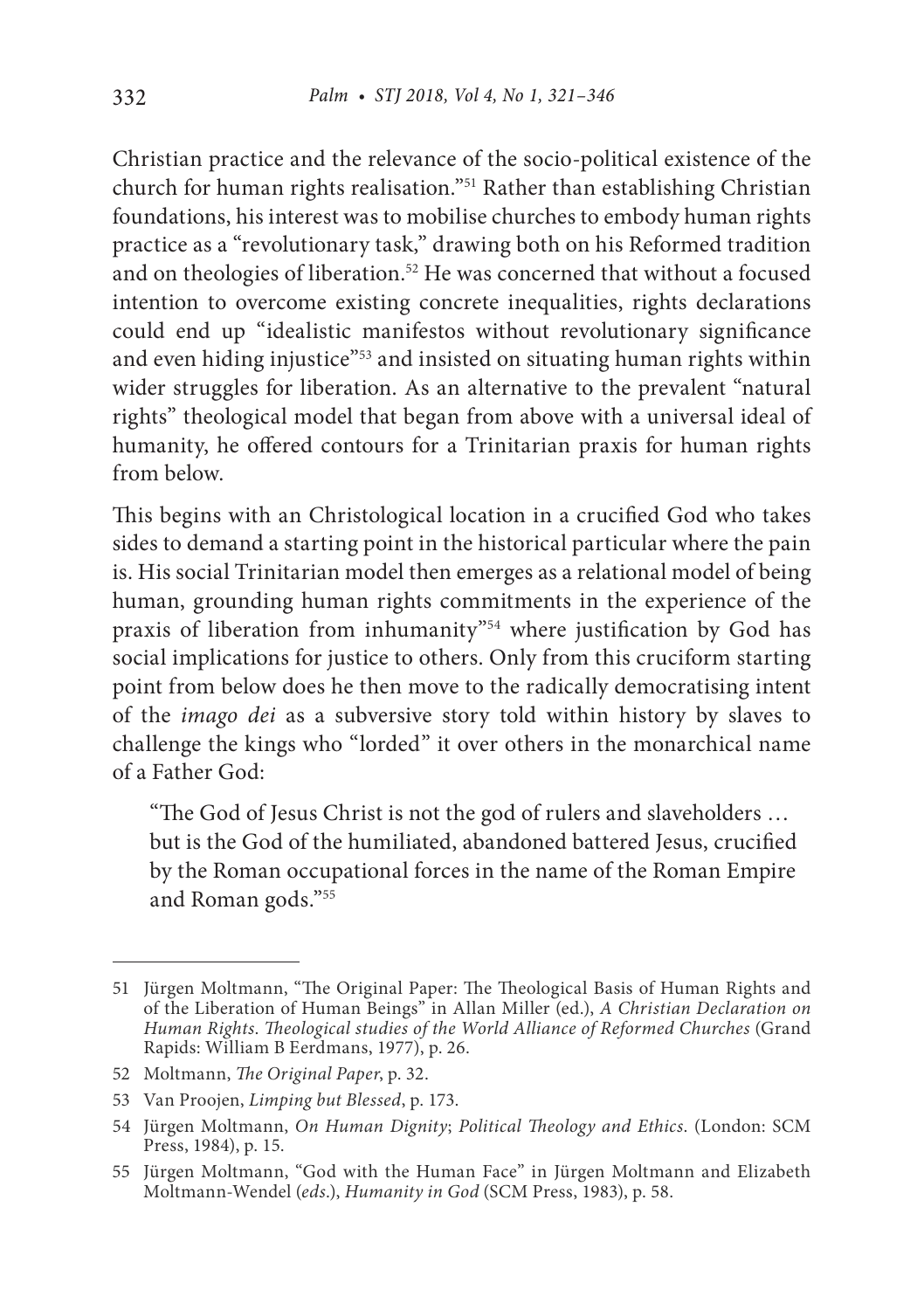Christian practice and the relevance of the socio-political existence of the church for human rights realisation."51 Rather than establishing Christian foundations, his interest was to mobilise churches to embody human rights practice as a "revolutionary task," drawing both on his Reformed tradition and on theologies of liberation.<sup>52</sup> He was concerned that without a focused intention to overcome existing concrete inequalities, rights declarations could end up "idealistic manifestos without revolutionary significance and even hiding injustice"<sup>53</sup> and insisted on situating human rights within wider struggles for liberation. As an alternative to the prevalent "natural rights" theological model that began from above with a universal ideal of humanity, he offered contours for a Trinitarian praxis for human rights from below.

This begins with an Christological location in a crucified God who takes sides to demand a starting point in the historical particular where the pain is. His social Trinitarian model then emerges as a relational model of being human, grounding human rights commitments in the experience of the praxis of liberation from inhumanity"<sup>54</sup> where justification by God has social implications for justice to others. Only from this cruciform starting point from below does he then move to the radically democratising intent of the *imago dei* as a subversive story told within history by slaves to challenge the kings who "lorded" it over others in the monarchical name of a Father God:

"The God of Jesus Christ is not the god of rulers and slaveholders … but is the God of the humiliated, abandoned battered Jesus, crucified by the Roman occupational forces in the name of the Roman Empire and Roman gods."55

<sup>51</sup> Jürgen Moltmann, "The Original Paper: The Theological Basis of Human Rights and of the Liberation of Human Beings" in Allan Miller (ed.), *A Christian Declaration on Human Rights*. *Theological studies of the World Alliance of Reformed Churches* (Grand Rapids: William B Eerdmans, 1977), p. 26.

<sup>52</sup> Moltmann, *The Original Paper*, p. 32.

<sup>53</sup> Van Proojen, *Limping but Blessed*, p. 173.

<sup>54</sup> Jürgen Moltmann, *On Human Dignity*; *Political Theology and Ethics*. (London: SCM Press, 1984), p. 15.

<sup>55</sup> Jürgen Moltmann, "God with the Human Face" in Jürgen Moltmann and Elizabeth Moltmann-Wendel (*eds*.), *Humanity in God* (SCM Press, 1983), p. 58.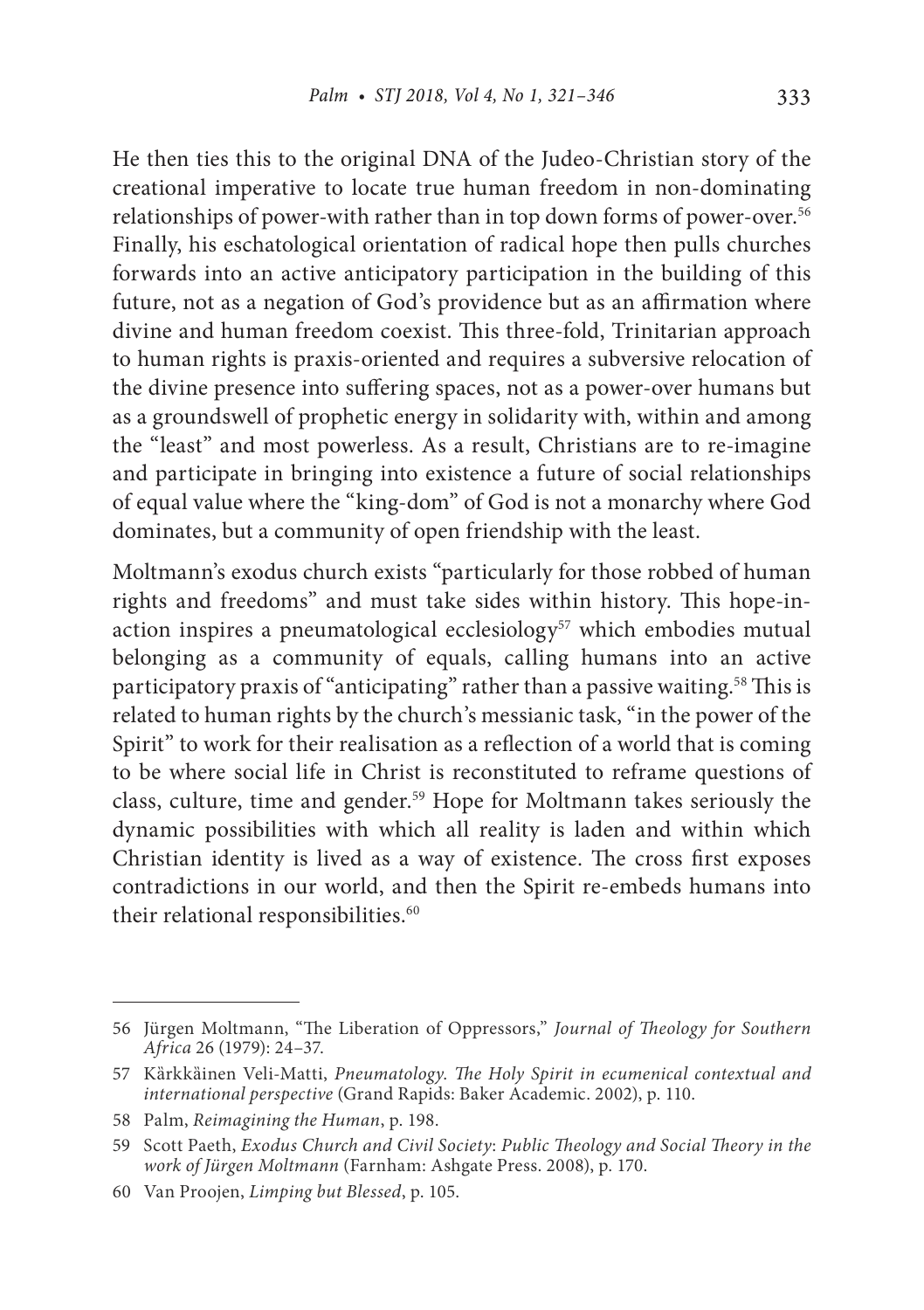He then ties this to the original DNA of the Judeo-Christian story of the creational imperative to locate true human freedom in non-dominating relationships of power-with rather than in top down forms of power-over.<sup>56</sup> Finally, his eschatological orientation of radical hope then pulls churches forwards into an active anticipatory participation in the building of this future, not as a negation of God's providence but as an affirmation where divine and human freedom coexist. This three-fold, Trinitarian approach to human rights is praxis-oriented and requires a subversive relocation of the divine presence into suffering spaces, not as a power-over humans but as a groundswell of prophetic energy in solidarity with, within and among the "least" and most powerless. As a result, Christians are to re-imagine and participate in bringing into existence a future of social relationships of equal value where the "king-dom" of God is not a monarchy where God dominates, but a community of open friendship with the least.

Moltmann's exodus church exists "particularly for those robbed of human rights and freedoms" and must take sides within history. This hope-inaction inspires a pneumatological ecclesiology<sup>57</sup> which embodies mutual belonging as a community of equals, calling humans into an active participatory praxis of "anticipating" rather than a passive waiting.<sup>58</sup> This is related to human rights by the church's messianic task, "in the power of the Spirit" to work for their realisation as a reflection of a world that is coming to be where social life in Christ is reconstituted to reframe questions of class, culture, time and gender.59 Hope for Moltmann takes seriously the dynamic possibilities with which all reality is laden and within which Christian identity is lived as a way of existence. The cross first exposes contradictions in our world, and then the Spirit re-embeds humans into their relational responsibilities.<sup>60</sup>

<sup>56</sup> Jürgen Moltmann, "The Liberation of Oppressors," *Journal of Theology for Southern Africa* 26 (1979): 24–37.

<sup>57</sup> Kȁrkkȁinen Veli-Matti, *Pneumatology*. *The Holy Spirit in ecumenical contextual and international perspective* (Grand Rapids: Baker Academic. 2002), p. 110.

<sup>58</sup> Palm, *Reimagining the Human*, p. 198.

<sup>59</sup> Scott Paeth, *Exodus Church and Civil Society*: *Public Theology and Social Theory in the work of Jürgen Moltmann* (Farnham: Ashgate Press. 2008), p. 170.

<sup>60</sup> Van Proojen, *Limping but Blessed*, p. 105.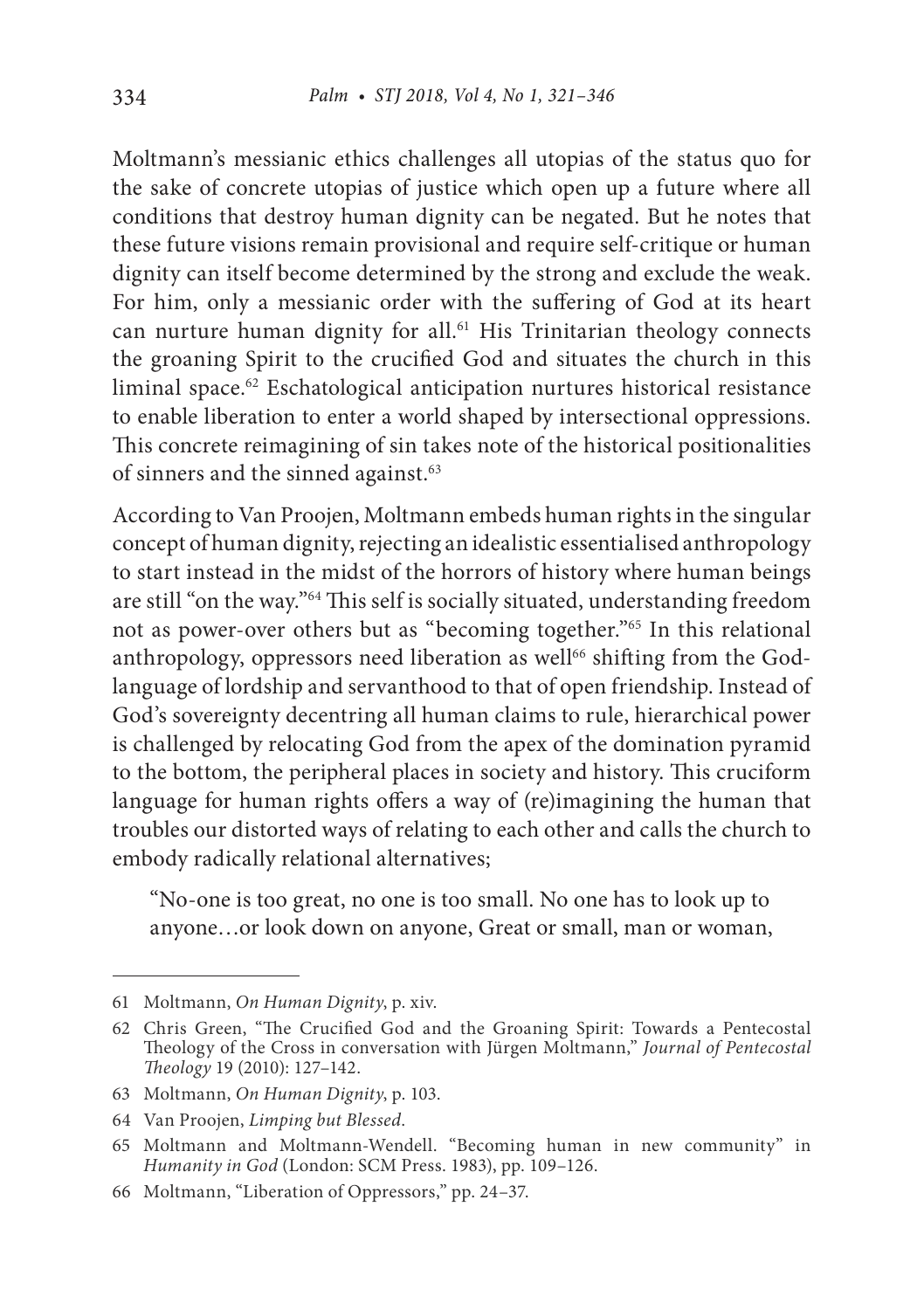Moltmann's messianic ethics challenges all utopias of the status quo for the sake of concrete utopias of justice which open up a future where all conditions that destroy human dignity can be negated. But he notes that these future visions remain provisional and require self-critique or human dignity can itself become determined by the strong and exclude the weak. For him, only a messianic order with the suffering of God at its heart can nurture human dignity for all.<sup>61</sup> His Trinitarian theology connects the groaning Spirit to the crucified God and situates the church in this liminal space.62 Eschatological anticipation nurtures historical resistance to enable liberation to enter a world shaped by intersectional oppressions. This concrete reimagining of sin takes note of the historical positionalities of sinners and the sinned against.<sup>63</sup>

According to Van Proojen, Moltmann embeds human rights in the singular concept of human dignity, rejecting an idealistic essentialised anthropology to start instead in the midst of the horrors of history where human beings are still "on the way."64 This self is socially situated, understanding freedom not as power-over others but as "becoming together."65 In this relational anthropology, oppressors need liberation as well<sup>66</sup> shifting from the Godlanguage of lordship and servanthood to that of open friendship. Instead of God's sovereignty decentring all human claims to rule, hierarchical power is challenged by relocating God from the apex of the domination pyramid to the bottom, the peripheral places in society and history. This cruciform language for human rights offers a way of (re)imagining the human that troubles our distorted ways of relating to each other and calls the church to embody radically relational alternatives;

"No-one is too great, no one is too small. No one has to look up to anyone…or look down on anyone, Great or small, man or woman,

<sup>61</sup> Moltmann, *On Human Dignity*, p. xiv.

<sup>62</sup> Chris Green, "The Crucified God and the Groaning Spirit: Towards a Pentecostal Theology of the Cross in conversation with Jürgen Moltmann," *Journal of Pentecostal Theology* 19 (2010): 127–142.

<sup>63</sup> Moltmann, *On Human Dignity*, p. 103.

<sup>64</sup> Van Proojen, *Limping but Blessed*.

<sup>65</sup> Moltmann and Moltmann-Wendell. "Becoming human in new community" in *Humanity in God* (London: SCM Press. 1983), pp. 109–126.

<sup>66</sup> Moltmann, "Liberation of Oppressors," pp. 24–37.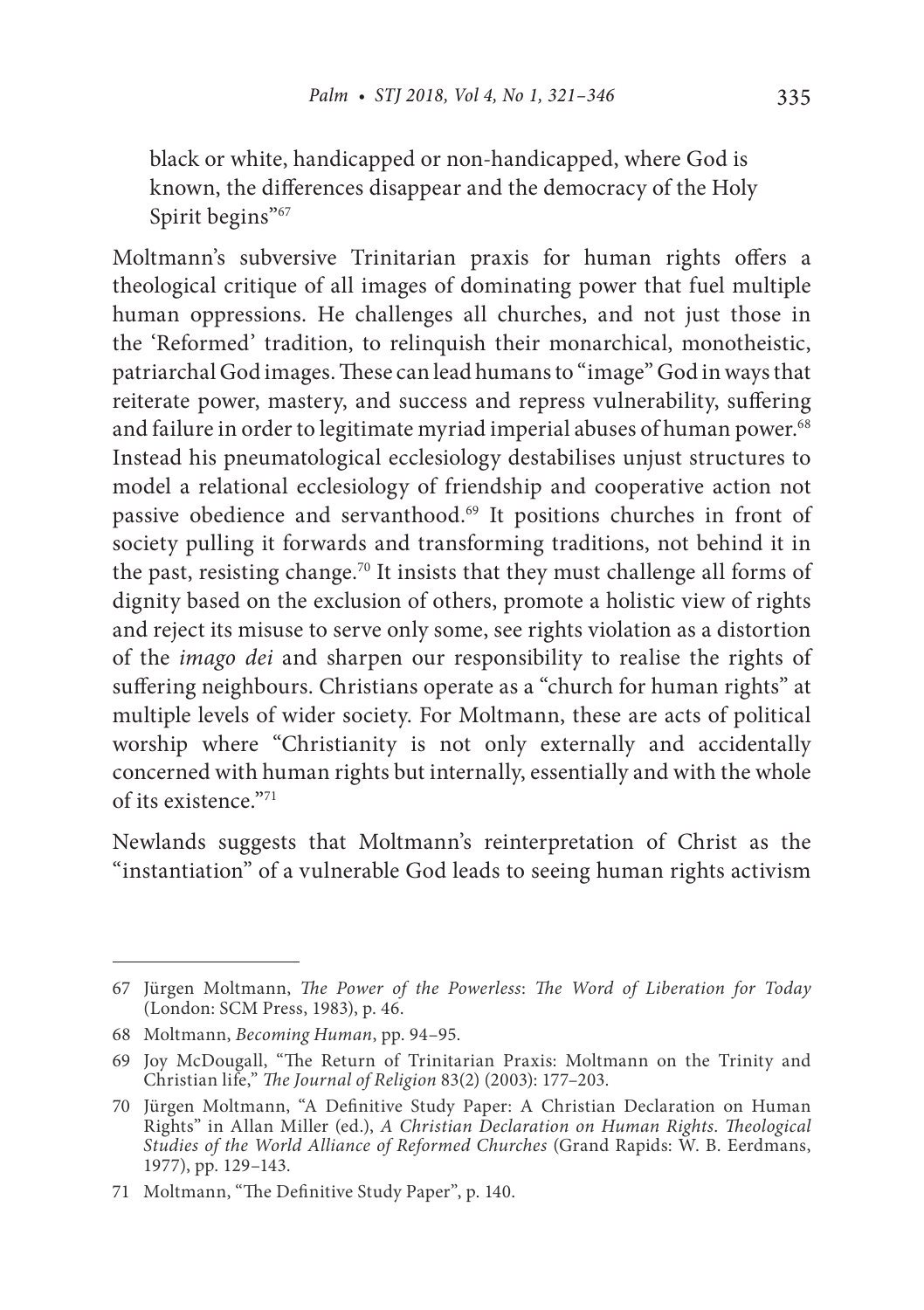black or white, handicapped or non-handicapped, where God is known, the differences disappear and the democracy of the Holy Spirit begins"<sup>67</sup>

Moltmann's subversive Trinitarian praxis for human rights offers a theological critique of all images of dominating power that fuel multiple human oppressions. He challenges all churches, and not just those in the 'Reformed' tradition, to relinquish their monarchical, monotheistic, patriarchal God images. These can lead humans to "image" God in ways that reiterate power, mastery, and success and repress vulnerability, suffering and failure in order to legitimate myriad imperial abuses of human power.<sup>68</sup> Instead his pneumatological ecclesiology destabilises unjust structures to model a relational ecclesiology of friendship and cooperative action not passive obedience and servanthood.69 It positions churches in front of society pulling it forwards and transforming traditions, not behind it in the past, resisting change.70 It insists that they must challenge all forms of dignity based on the exclusion of others, promote a holistic view of rights and reject its misuse to serve only some, see rights violation as a distortion of the *imago dei* and sharpen our responsibility to realise the rights of suffering neighbours. Christians operate as a "church for human rights" at multiple levels of wider society. For Moltmann, these are acts of political worship where "Christianity is not only externally and accidentally concerned with human rights but internally, essentially and with the whole of its existence. $^{971}$ 

Newlands suggests that Moltmann's reinterpretation of Christ as the "instantiation" of a vulnerable God leads to seeing human rights activism

<sup>67</sup> Jürgen Moltmann, *The Power of the Powerless*: *The Word of Liberation for Today* (London: SCM Press, 1983), p. 46.

<sup>68</sup> Moltmann, *Becoming Human*, pp. 94–95.

<sup>69</sup> Joy McDougall, "The Return of Trinitarian Praxis: Moltmann on the Trinity and Christian life," *The Journal of Religion* 83(2) (2003): 177–203.

<sup>70</sup> Jürgen Moltmann, "A Definitive Study Paper: A Christian Declaration on Human Rights" in Allan Miller (ed.), *A Christian Declaration on Human Rights*. *Theological Studies of the World Alliance of Reformed Churches* (Grand Rapids: W. B. Eerdmans, 1977), pp. 129–143.

<sup>71</sup> Moltmann, "The Definitive Study Paper", p. 140.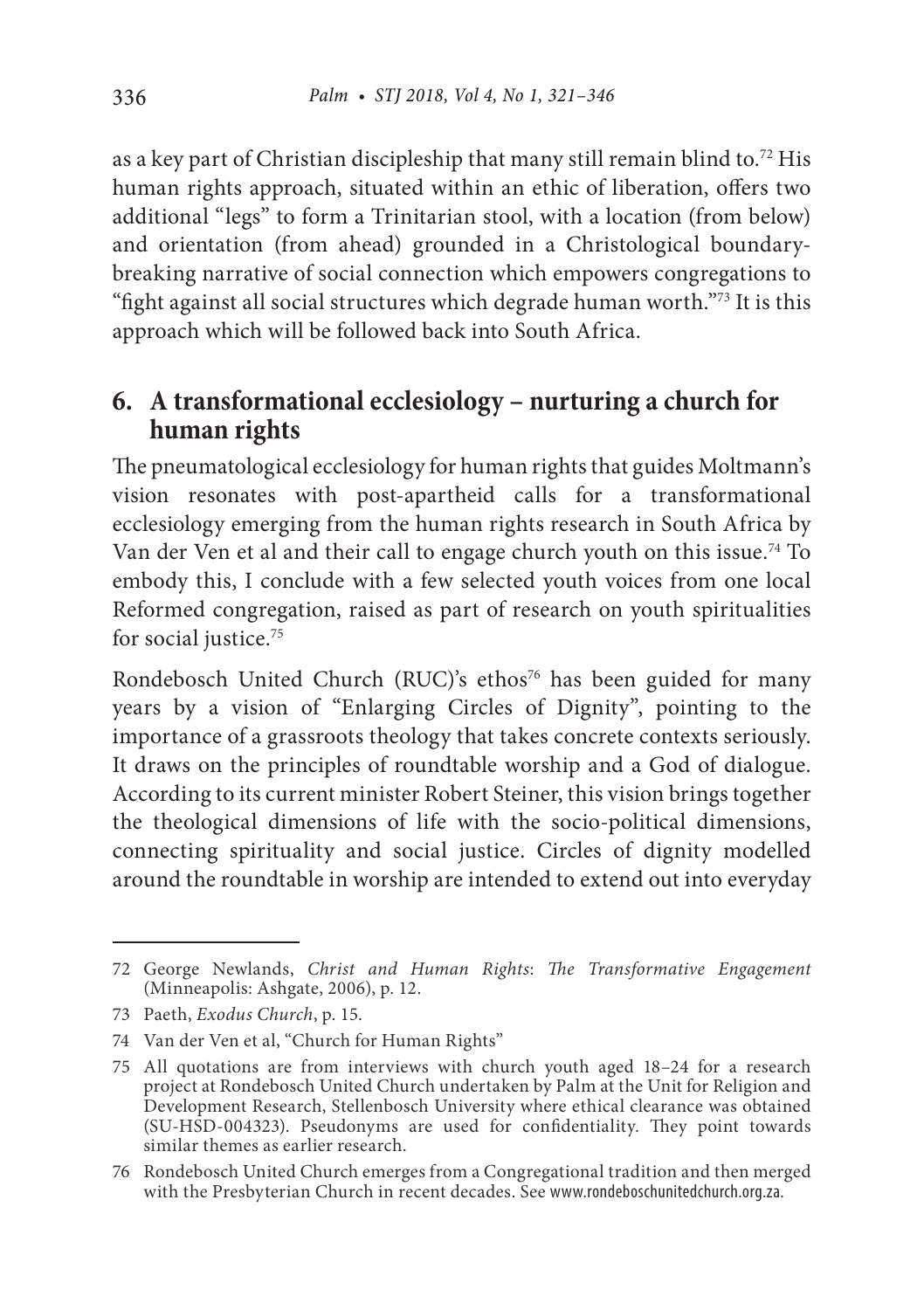as a key part of Christian discipleship that many still remain blind to.72 His human rights approach, situated within an ethic of liberation, offers two additional "legs" to form a Trinitarian stool, with a location (from below) and orientation (from ahead) grounded in a Christological boundarybreaking narrative of social connection which empowers congregations to "fight against all social structures which degrade human worth."73 It is this approach which will be followed back into South Africa.

### **6. A transformational ecclesiology – nurturing a church for human rights**

The pneumatological ecclesiology for human rights that guides Moltmann's vision resonates with post-apartheid calls for a transformational ecclesiology emerging from the human rights research in South Africa by Van der Ven et al and their call to engage church youth on this issue.<sup>74</sup> To embody this, I conclude with a few selected youth voices from one local Reformed congregation, raised as part of research on youth spiritualities for social justice.<sup>75</sup>

Rondebosch United Church (RUC)'s ethos<sup>76</sup> has been guided for many years by a vision of "Enlarging Circles of Dignity", pointing to the importance of a grassroots theology that takes concrete contexts seriously. It draws on the principles of roundtable worship and a God of dialogue. According to its current minister Robert Steiner, this vision brings together the theological dimensions of life with the socio-political dimensions, connecting spirituality and social justice. Circles of dignity modelled around the roundtable in worship are intended to extend out into everyday

<sup>72</sup> George Newlands, *Christ and Human Rights*: *The Transformative Engagement* (Minneapolis: Ashgate, 2006), p. 12.

<sup>73</sup> Paeth, *Exodus Church*, p. 15.

<sup>74</sup> Van der Ven et al, "Church for Human Rights"

<sup>75</sup> All quotations are from interviews with church youth aged 18–24 for a research project at Rondebosch United Church undertaken by Palm at the Unit for Religion and Development Research, Stellenbosch University where ethical clearance was obtained (SU-HSD-004323). Pseudonyms are used for confidentiality. They point towards similar themes as earlier research.

<sup>76</sup> Rondebosch United Church emerges from a Congregational tradition and then merged with the Presbyterian Church in recent decades. See www.rondeboschunitedchurch.org.za.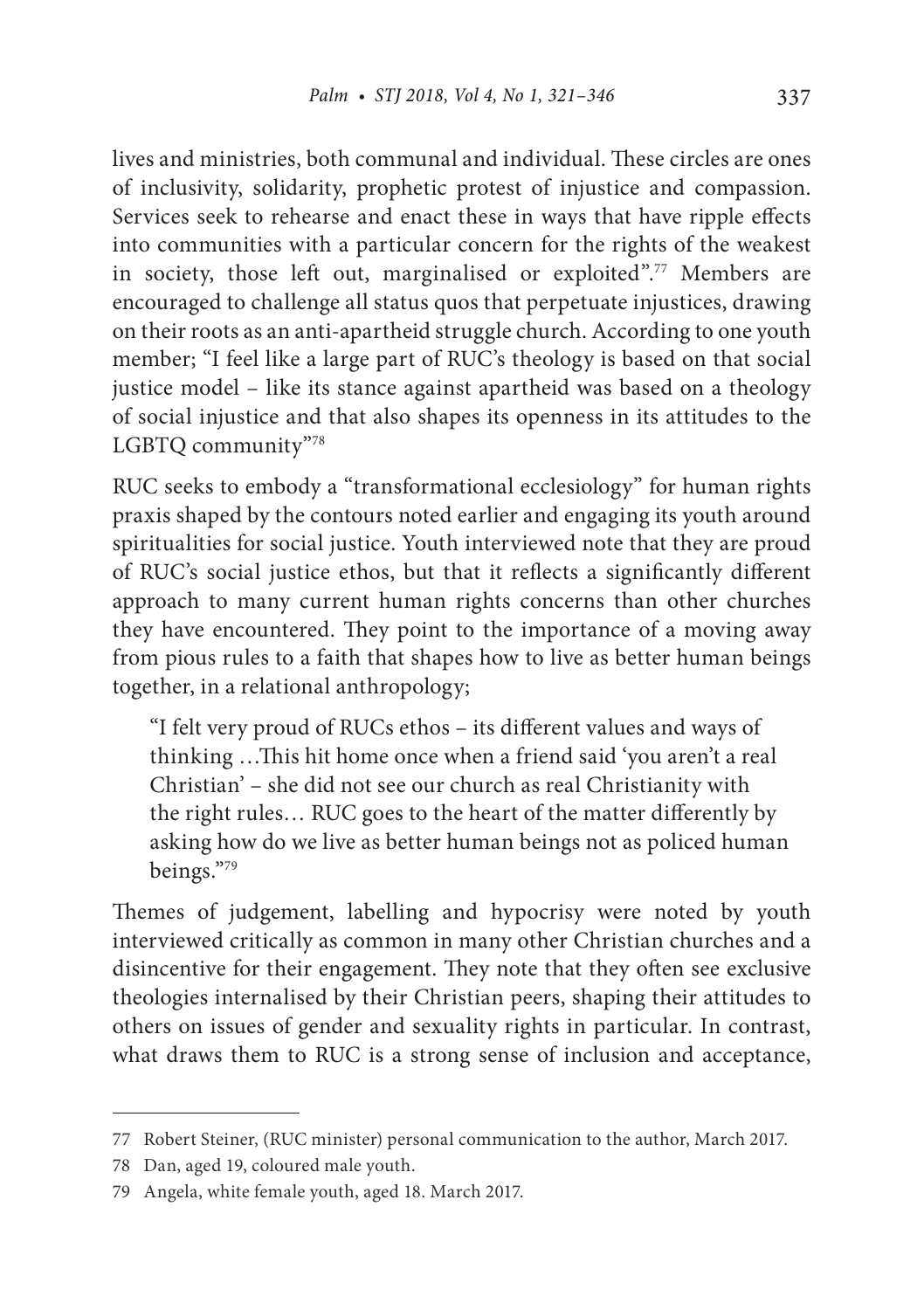lives and ministries, both communal and individual. These circles are ones of inclusivity, solidarity, prophetic protest of injustice and compassion. Services seek to rehearse and enact these in ways that have ripple effects into communities with a particular concern for the rights of the weakest in society, those left out, marginalised or exploited".<sup>77</sup> Members are encouraged to challenge all status quos that perpetuate injustices, drawing on their roots as an anti-apartheid struggle church. According to one youth member; "I feel like a large part of RUC's theology is based on that social justice model – like its stance against apartheid was based on a theology of social injustice and that also shapes its openness in its attitudes to the LGBTQ community"78

RUC seeks to embody a "transformational ecclesiology" for human rights praxis shaped by the contours noted earlier and engaging its youth around spiritualities for social justice. Youth interviewed note that they are proud of RUC's social justice ethos, but that it reflects a significantly different approach to many current human rights concerns than other churches they have encountered. They point to the importance of a moving away from pious rules to a faith that shapes how to live as better human beings together, in a relational anthropology;

"I felt very proud of RUCs ethos – its different values and ways of thinking …This hit home once when a friend said 'you aren't a real Christian' – she did not see our church as real Christianity with the right rules… RUC goes to the heart of the matter differently by asking how do we live as better human beings not as policed human beings."79

Themes of judgement, labelling and hypocrisy were noted by youth interviewed critically as common in many other Christian churches and a disincentive for their engagement. They note that they often see exclusive theologies internalised by their Christian peers, shaping their attitudes to others on issues of gender and sexuality rights in particular. In contrast, what draws them to RUC is a strong sense of inclusion and acceptance,

<sup>77</sup> Robert Steiner, (RUC minister) personal communication to the author, March 2017.

<sup>78</sup> Dan, aged 19, coloured male youth.

<sup>79</sup> Angela, white female youth, aged 18. March 2017.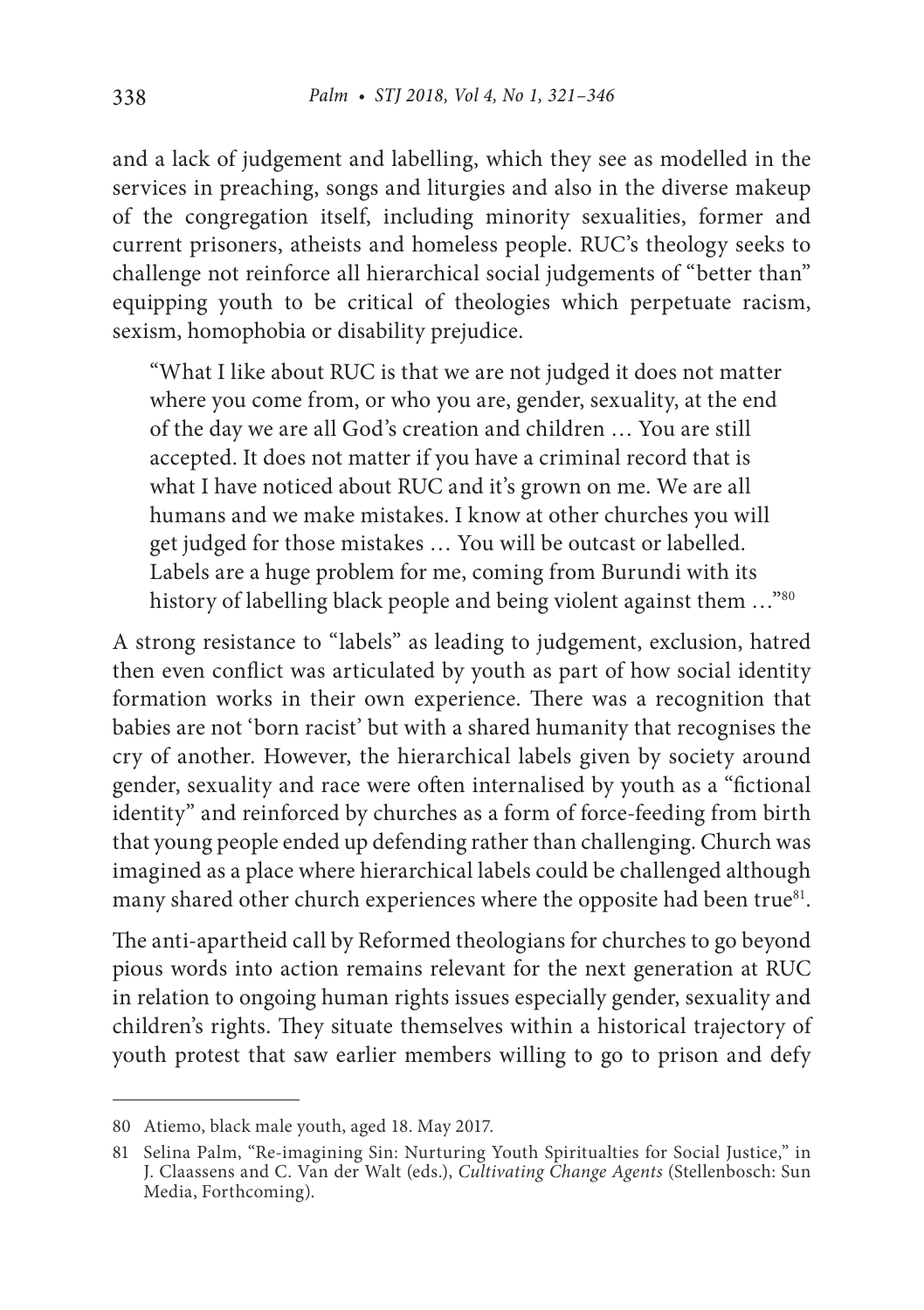and a lack of judgement and labelling, which they see as modelled in the services in preaching, songs and liturgies and also in the diverse makeup of the congregation itself, including minority sexualities, former and current prisoners, atheists and homeless people. RUC's theology seeks to challenge not reinforce all hierarchical social judgements of "better than" equipping youth to be critical of theologies which perpetuate racism, sexism, homophobia or disability prejudice.

"What I like about RUC is that we are not judged it does not matter where you come from, or who you are, gender, sexuality, at the end of the day we are all God's creation and children … You are still accepted. It does not matter if you have a criminal record that is what I have noticed about RUC and it's grown on me. We are all humans and we make mistakes. I know at other churches you will get judged for those mistakes … You will be outcast or labelled. Labels are a huge problem for me, coming from Burundi with its history of labelling black people and being violent against them ..."80

A strong resistance to "labels" as leading to judgement, exclusion, hatred then even conflict was articulated by youth as part of how social identity formation works in their own experience. There was a recognition that babies are not 'born racist' but with a shared humanity that recognises the cry of another. However, the hierarchical labels given by society around gender, sexuality and race were often internalised by youth as a "fictional identity" and reinforced by churches as a form of force-feeding from birth that young people ended up defending rather than challenging. Church was imagined as a place where hierarchical labels could be challenged although many shared other church experiences where the opposite had been true<sup>81</sup>.

The anti-apartheid call by Reformed theologians for churches to go beyond pious words into action remains relevant for the next generation at RUC in relation to ongoing human rights issues especially gender, sexuality and children's rights. They situate themselves within a historical trajectory of youth protest that saw earlier members willing to go to prison and defy

<sup>80</sup> Atiemo, black male youth, aged 18. May 2017.

<sup>81</sup> Selina Palm, "Re-imagining Sin: Nurturing Youth Spiritualties for Social Justice," in J. Claassens and C. Van der Walt (eds.), *Cultivating Change Agents* (Stellenbosch: Sun Media, Forthcoming).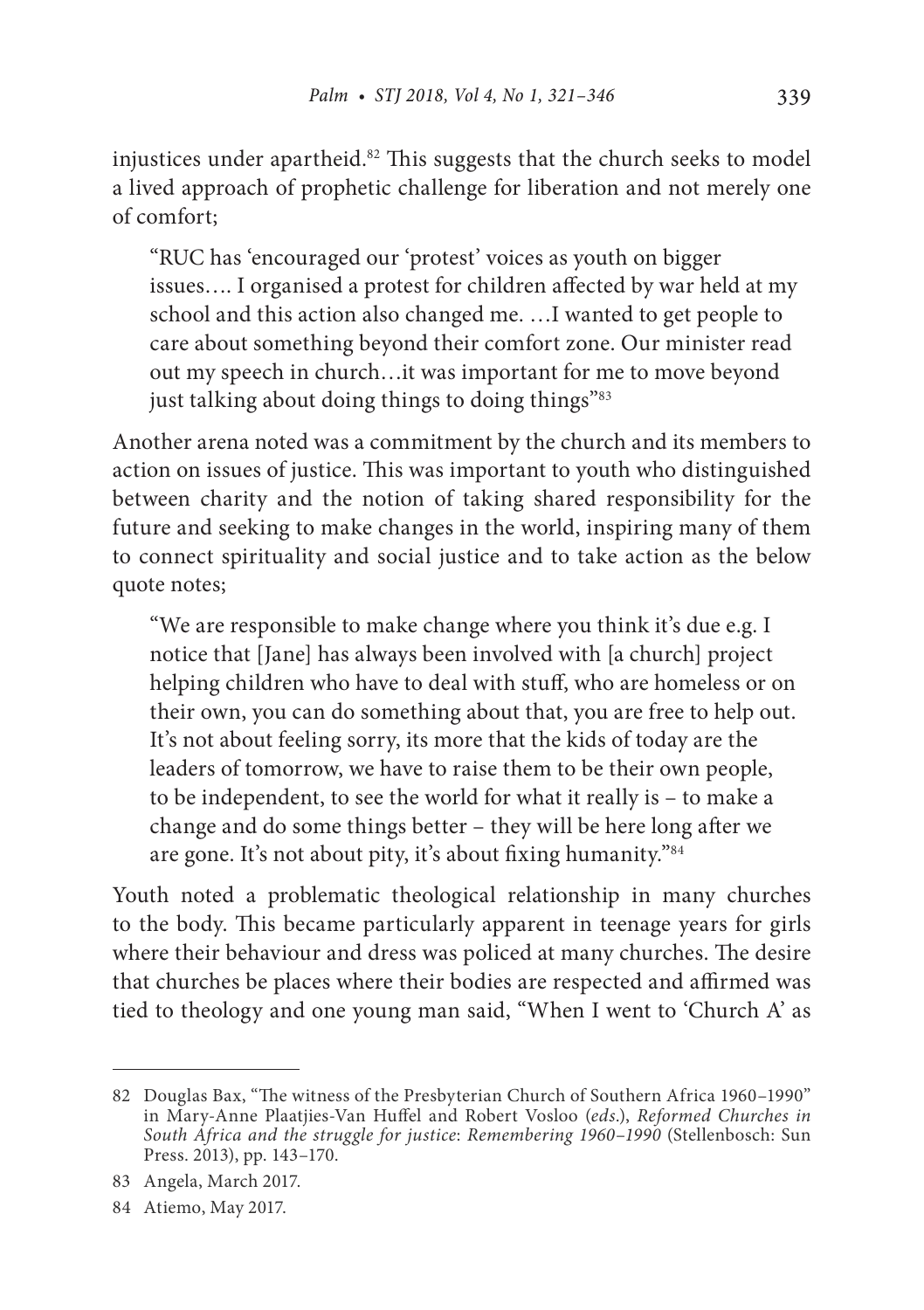injustices under apartheid.82 This suggests that the church seeks to model a lived approach of prophetic challenge for liberation and not merely one of comfort;

"RUC has 'encouraged our 'protest' voices as youth on bigger issues…. I organised a protest for children affected by war held at my school and this action also changed me. …I wanted to get people to care about something beyond their comfort zone. Our minister read out my speech in church…it was important for me to move beyond just talking about doing things to doing things"83

Another arena noted was a commitment by the church and its members to action on issues of justice. This was important to youth who distinguished between charity and the notion of taking shared responsibility for the future and seeking to make changes in the world, inspiring many of them to connect spirituality and social justice and to take action as the below quote notes;

"We are responsible to make change where you think it's due e.g. I notice that [Jane] has always been involved with [a church] project helping children who have to deal with stuff, who are homeless or on their own, you can do something about that, you are free to help out. It's not about feeling sorry, its more that the kids of today are the leaders of tomorrow, we have to raise them to be their own people, to be independent, to see the world for what it really is – to make a change and do some things better – they will be here long after we are gone. It's not about pity, it's about fixing humanity."84

Youth noted a problematic theological relationship in many churches to the body. This became particularly apparent in teenage years for girls where their behaviour and dress was policed at many churches. The desire that churches be places where their bodies are respected and affirmed was tied to theology and one young man said, "When I went to 'Church A' as

<sup>82</sup> Douglas Bax, "The witness of the Presbyterian Church of Southern Africa 1960–1990" in Mary-Anne Plaatjies-Van Huffel and Robert Vosloo (*eds*.), *Reformed Churches in South Africa and the struggle for justice*: *Remembering 1960*–*1990* (Stellenbosch: Sun Press. 2013), pp. 143–170.

<sup>83</sup> Angela, March 2017.

<sup>84</sup> Atiemo, May 2017.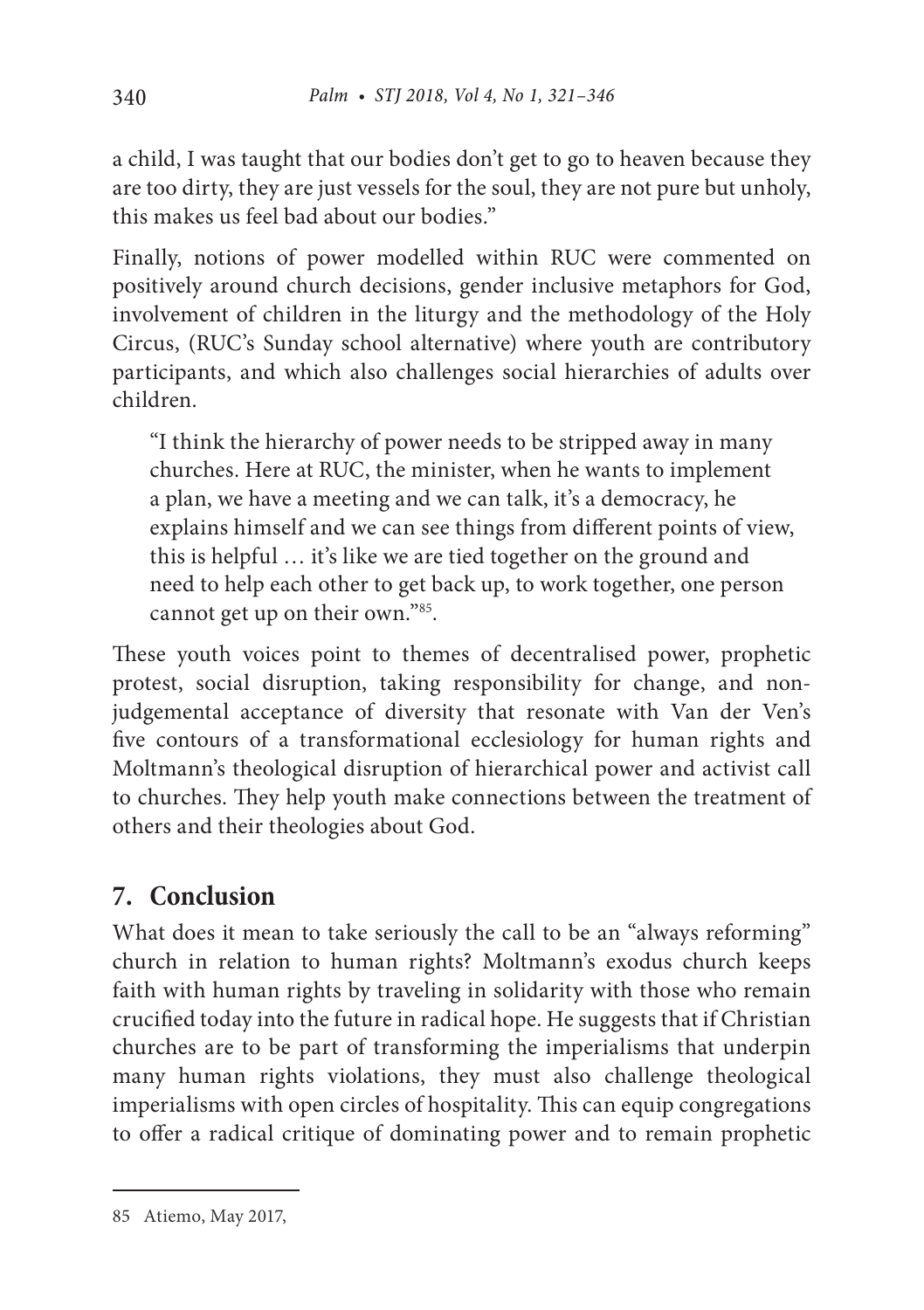a child, I was taught that our bodies don't get to go to heaven because they are too dirty, they are just vessels for the soul, they are not pure but unholy, this makes us feel bad about our bodies."

Finally, notions of power modelled within RUC were commented on positively around church decisions, gender inclusive metaphors for God, involvement of children in the liturgy and the methodology of the Holy Circus, (RUC's Sunday school alternative) where youth are contributory participants, and which also challenges social hierarchies of adults over children.

"I think the hierarchy of power needs to be stripped away in many churches. Here at RUC, the minister, when he wants to implement a plan, we have a meeting and we can talk, it's a democracy, he explains himself and we can see things from different points of view, this is helpful … it's like we are tied together on the ground and need to help each other to get back up, to work together, one person cannot get up on their own."85.

These youth voices point to themes of decentralised power, prophetic protest, social disruption, taking responsibility for change, and nonjudgemental acceptance of diversity that resonate with Van der Ven's five contours of a transformational ecclesiology for human rights and Moltmann's theological disruption of hierarchical power and activist call to churches. They help youth make connections between the treatment of others and their theologies about God.

# **7. Conclusion**

What does it mean to take seriously the call to be an "always reforming" church in relation to human rights? Moltmann's exodus church keeps faith with human rights by traveling in solidarity with those who remain crucified today into the future in radical hope. He suggests that if Christian churches are to be part of transforming the imperialisms that underpin many human rights violations, they must also challenge theological imperialisms with open circles of hospitality. This can equip congregations to offer a radical critique of dominating power and to remain prophetic

<sup>85</sup> Atiemo, May 2017,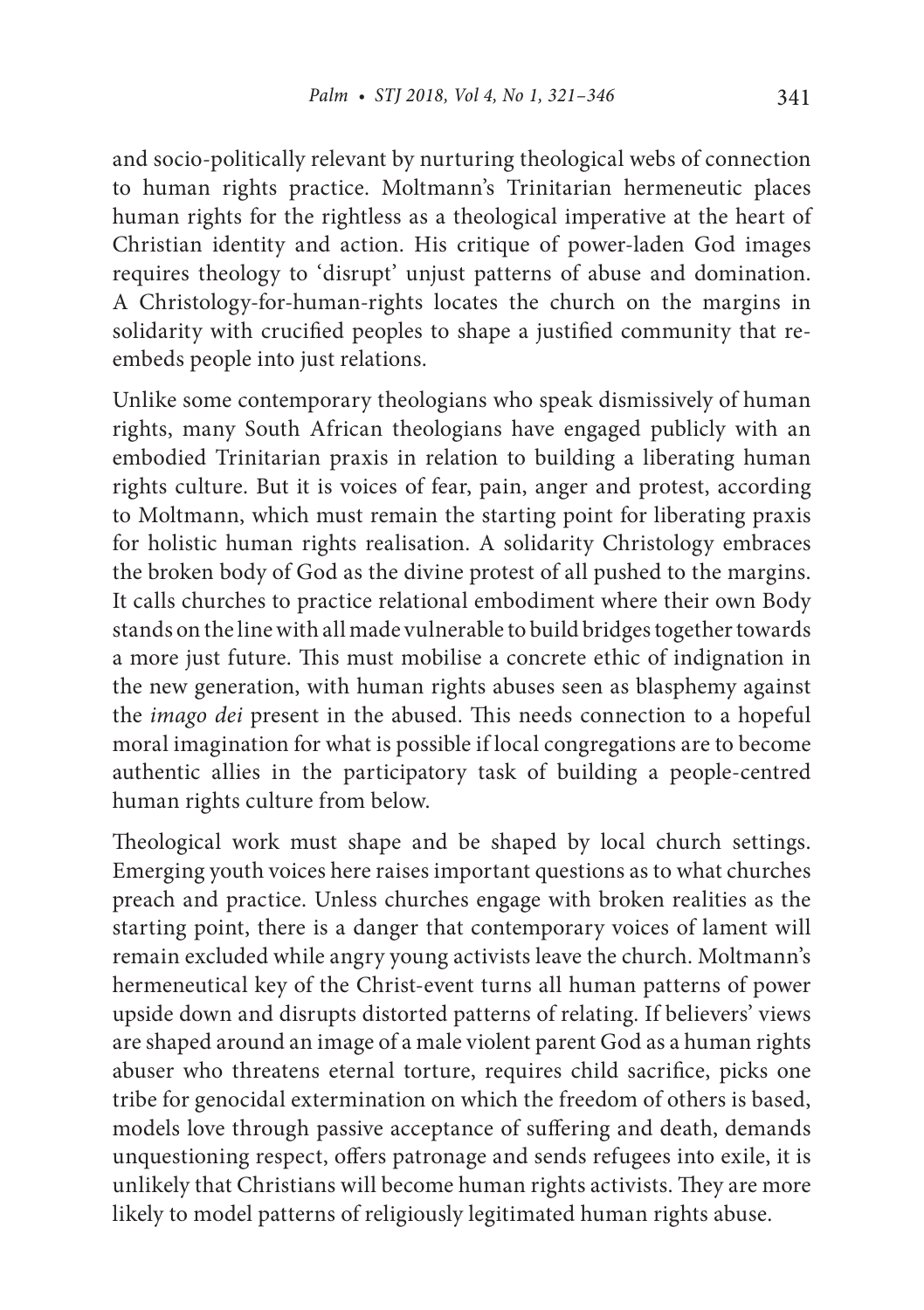and socio-politically relevant by nurturing theological webs of connection to human rights practice. Moltmann's Trinitarian hermeneutic places human rights for the rightless as a theological imperative at the heart of Christian identity and action. His critique of power-laden God images requires theology to 'disrupt' unjust patterns of abuse and domination. A Christology-for-human-rights locates the church on the margins in solidarity with crucified peoples to shape a justified community that reembeds people into just relations.

Unlike some contemporary theologians who speak dismissively of human rights, many South African theologians have engaged publicly with an embodied Trinitarian praxis in relation to building a liberating human rights culture. But it is voices of fear, pain, anger and protest, according to Moltmann, which must remain the starting point for liberating praxis for holistic human rights realisation. A solidarity Christology embraces the broken body of God as the divine protest of all pushed to the margins. It calls churches to practice relational embodiment where their own Body stands on the line with all made vulnerable to build bridges together towards a more just future. This must mobilise a concrete ethic of indignation in the new generation, with human rights abuses seen as blasphemy against the *imago dei* present in the abused. This needs connection to a hopeful moral imagination for what is possible if local congregations are to become authentic allies in the participatory task of building a people-centred human rights culture from below.

Theological work must shape and be shaped by local church settings. Emerging youth voices here raises important questions as to what churches preach and practice. Unless churches engage with broken realities as the starting point, there is a danger that contemporary voices of lament will remain excluded while angry young activists leave the church. Moltmann's hermeneutical key of the Christ-event turns all human patterns of power upside down and disrupts distorted patterns of relating. If believers' views are shaped around an image of a male violent parent God as a human rights abuser who threatens eternal torture, requires child sacrifice, picks one tribe for genocidal extermination on which the freedom of others is based, models love through passive acceptance of suffering and death, demands unquestioning respect, offers patronage and sends refugees into exile, it is unlikely that Christians will become human rights activists. They are more likely to model patterns of religiously legitimated human rights abuse.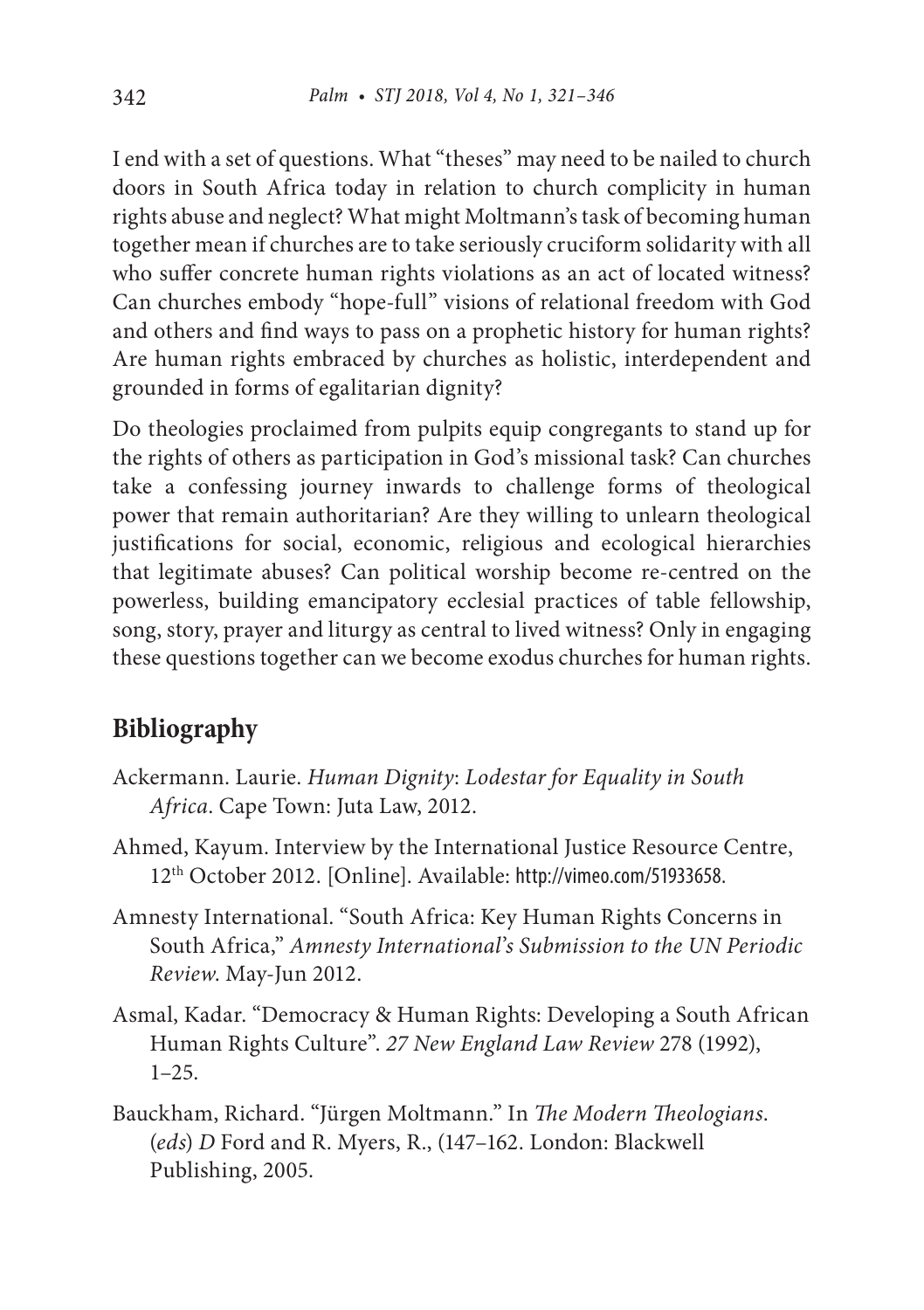I end with a set of questions. What "theses" may need to be nailed to church doors in South Africa today in relation to church complicity in human rights abuse and neglect? What might Moltmann's task of becoming human together mean if churches are to take seriously cruciform solidarity with all who suffer concrete human rights violations as an act of located witness? Can churches embody "hope-full" visions of relational freedom with God and others and find ways to pass on a prophetic history for human rights? Are human rights embraced by churches as holistic, interdependent and grounded in forms of egalitarian dignity?

Do theologies proclaimed from pulpits equip congregants to stand up for the rights of others as participation in God's missional task? Can churches take a confessing journey inwards to challenge forms of theological power that remain authoritarian? Are they willing to unlearn theological justifications for social, economic, religious and ecological hierarchies that legitimate abuses? Can political worship become re-centred on the powerless, building emancipatory ecclesial practices of table fellowship, song, story, prayer and liturgy as central to lived witness? Only in engaging these questions together can we become exodus churches for human rights.

# **Bibliography**

- Ackermann. Laurie. *Human Dignity*: *Lodestar for Equality in South Africa*. Cape Town: Juta Law, 2012.
- Ahmed, Kayum. Interview by the International Justice Resource Centre, 12th October 2012. [Online]. Available: http://vimeo.com/51933658.
- Amnesty International. "South Africa: Key Human Rights Concerns in South Africa," *Amnesty International*'*s Submission to the UN Periodic Review*. May-Jun 2012.
- Asmal, Kadar. "Democracy & Human Rights: Developing a South African Human Rights Culture". *27 New England Law Review* 278 (1992), 1–25.
- Bauckham, Richard. "Jürgen Moltmann." In *The Modern Theologians*. (*eds*) *D* Ford and R. Myers, R., (147–162. London: Blackwell Publishing, 2005.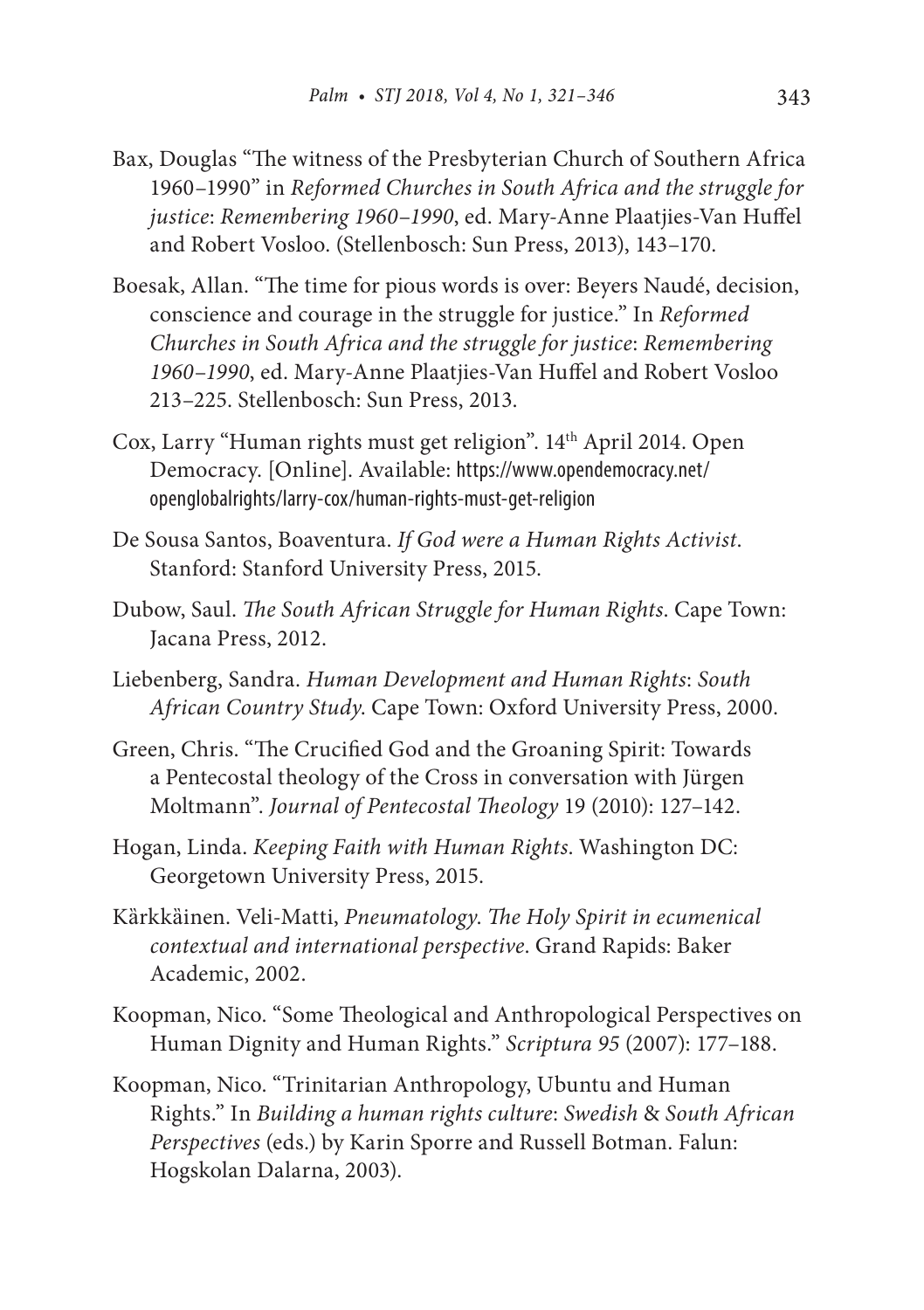- Bax, Douglas "The witness of the Presbyterian Church of Southern Africa 1960–1990" in *Reformed Churches in South Africa and the struggle for justice*: *Remembering 1960*–*1990*, ed. Mary-Anne Plaatjies-Van Huffel and Robert Vosloo. (Stellenbosch: Sun Press, 2013), 143–170.
- Boesak, Allan. "The time for pious words is over: Beyers Naudé, decision, conscience and courage in the struggle for justice." In *Reformed Churches in South Africa and the struggle for justice*: *Remembering 1960*–*1990*, ed. Mary-Anne Plaatjies-Van Huffel and Robert Vosloo 213–225. Stellenbosch: Sun Press, 2013.
- Cox, Larry "Human rights must get religion". 14th April 2014. Open Democracy. [Online]. Available: https://www.opendemocracy.net/ openglobalrights/larry-cox/human-rights-must-get-religion
- De Sousa Santos, Boaventura. *If God were a Human Rights Activist*. Stanford: Stanford University Press, 2015.
- Dubow, Saul. *The South African Struggle for Human Rights*. Cape Town: Jacana Press, 2012.
- Liebenberg, Sandra. *Human Development and Human Rights*: *South African Country Study*. Cape Town: Oxford University Press, 2000.
- Green, Chris. "The Crucified God and the Groaning Spirit: Towards a Pentecostal theology of the Cross in conversation with Jürgen Moltmann". *Journal of Pentecostal Theology* 19 (2010): 127–142.
- Hogan, Linda. *Keeping Faith with Human Rights*. Washington DC: Georgetown University Press, 2015.
- Kȁrkkȁinen. Veli-Matti, *Pneumatology*. *The Holy Spirit in ecumenical contextual and international perspective*. Grand Rapids: Baker Academic, 2002.
- Koopman, Nico. "Some Theological and Anthropological Perspectives on Human Dignity and Human Rights." *Scriptura 95* (2007): 177–188.
- Koopman, Nico. "Trinitarian Anthropology, Ubuntu and Human Rights." In *Building a human rights culture*: *Swedish* & *South African Perspectives* (eds.) by Karin Sporre and Russell Botman. Falun: Hogskolan Dalarna, 2003).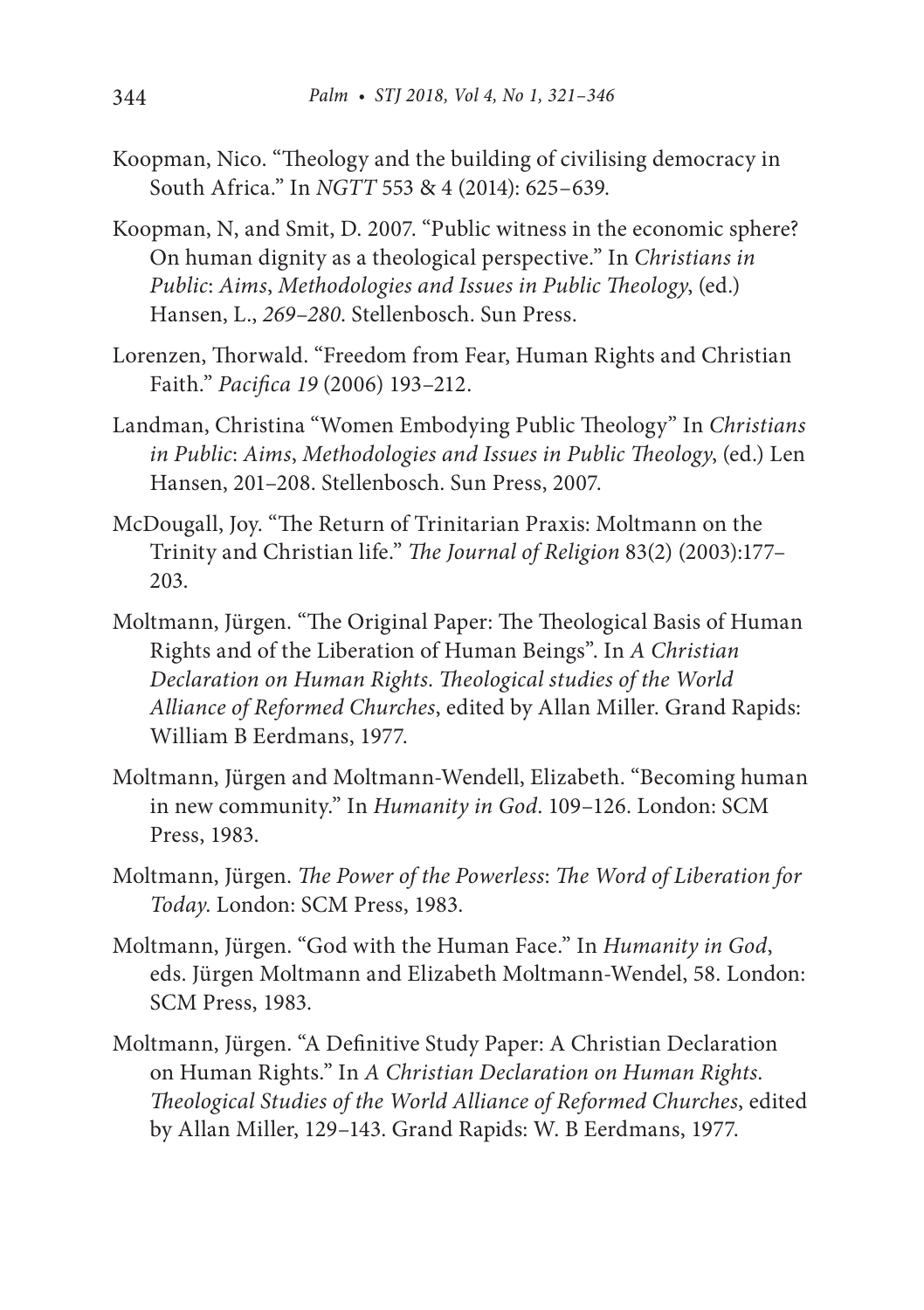- Koopman, Nico. "Theology and the building of civilising democracy in South Africa." In *NGTT* 553 & 4 (2014): 625–639.
- Koopman, N, and Smit, D. 2007. "Public witness in the economic sphere? On human dignity as a theological perspective." In *Christians in Public*: *Aims*, *Methodologies and Issues in Public Theology*, (ed.) Hansen, L., *269*–*280*. Stellenbosch. Sun Press.
- Lorenzen, Thorwald. "Freedom from Fear, Human Rights and Christian Faith." *Pacifica 19* (2006) 193–212.
- Landman, Christina "Women Embodying Public Theology" In *Christians in Public*: *Aims*, *Methodologies and Issues in Public Theology*, (ed.) Len Hansen, 201–208. Stellenbosch. Sun Press, 2007.
- McDougall, Joy. "The Return of Trinitarian Praxis: Moltmann on the Trinity and Christian life." *The Journal of Religion* 83(2) (2003):177– 203.
- Moltmann, Jürgen. "The Original Paper: The Theological Basis of Human Rights and of the Liberation of Human Beings". In *A Christian Declaration on Human Rights*. *Theological studies of the World Alliance of Reformed Churches*, edited by Allan Miller. Grand Rapids: William B Eerdmans, 1977.
- Moltmann, Jürgen and Moltmann-Wendell, Elizabeth. "Becoming human in new community." In *Humanity in God*. 109–126. London: SCM Press, 1983.
- Moltmann, Jürgen. *The Power of the Powerless*: *The Word of Liberation for Today*. London: SCM Press, 1983.
- Moltmann, Jürgen. "God with the Human Face." In *Humanity in God*, eds. Jürgen Moltmann and Elizabeth Moltmann-Wendel, 58. London: SCM Press, 1983.
- Moltmann, Jürgen. "A Definitive Study Paper: A Christian Declaration on Human Rights." In *A Christian Declaration on Human Rights*. *Theological Studies of the World Alliance of Reformed Churches*, edited by Allan Miller, 129–143. Grand Rapids: W. B Eerdmans, 1977.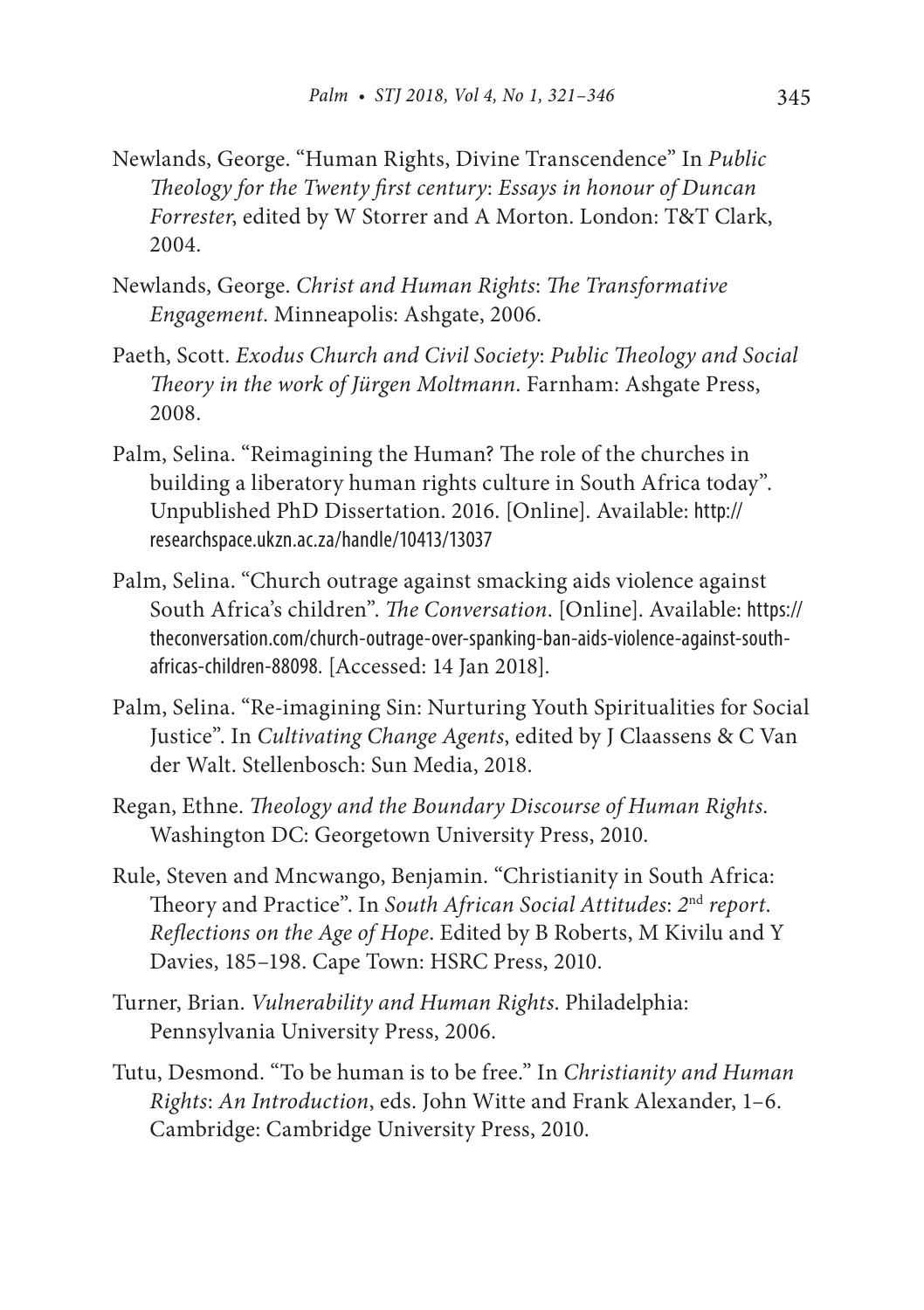- Newlands, George. "Human Rights, Divine Transcendence" In *Public Theology for the Twenty first century*: *Essays in honour of Duncan Forrester*, edited by W Storrer and A Morton. London: T&T Clark, 2004.
- Newlands, George. *Christ and Human Rights*: *The Transformative Engagement*. Minneapolis: Ashgate, 2006.
- Paeth, Scott. *Exodus Church and Civil Society*: *Public Theology and Social Theory in the work of Jürgen Moltmann*. Farnham: Ashgate Press, 2008.
- Palm, Selina. "Reimagining the Human? The role of the churches in building a liberatory human rights culture in South Africa today". Unpublished PhD Dissertation. 2016. [Online]. Available: http:// researchspace.ukzn.ac.za/handle/10413/13037
- Palm, Selina. "Church outrage against smacking aids violence against South Africa's children". *The Conversation*. [Online]. Available: https:// theconversation.com/church-outrage-over-spanking-ban-aids-violence-against-southafricas-children-88098. [Accessed: 14 Jan 2018].
- Palm, Selina. "Re-imagining Sin: Nurturing Youth Spiritualities for Social Justice". In *Cultivating Change Agents*, edited by J Claassens & C Van der Walt. Stellenbosch: Sun Media, 2018.
- Regan, Ethne. *Theology and the Boundary Discourse of Human Rights*. Washington DC: Georgetown University Press, 2010.
- Rule, Steven and Mncwango, Benjamin. "Christianity in South Africa: Theory and Practice". In *South African Social Attitudes*: *2*nd *report*. *Reflections on the Age of Hope*. Edited by B Roberts, M Kivilu and Y Davies, 185–198. Cape Town: HSRC Press, 2010.
- Turner, Brian. *Vulnerability and Human Rights*. Philadelphia: Pennsylvania University Press, 2006.
- Tutu, Desmond. "To be human is to be free." In *Christianity and Human Rights*: *An Introduction*, eds. John Witte and Frank Alexander, 1–6. Cambridge: Cambridge University Press, 2010.